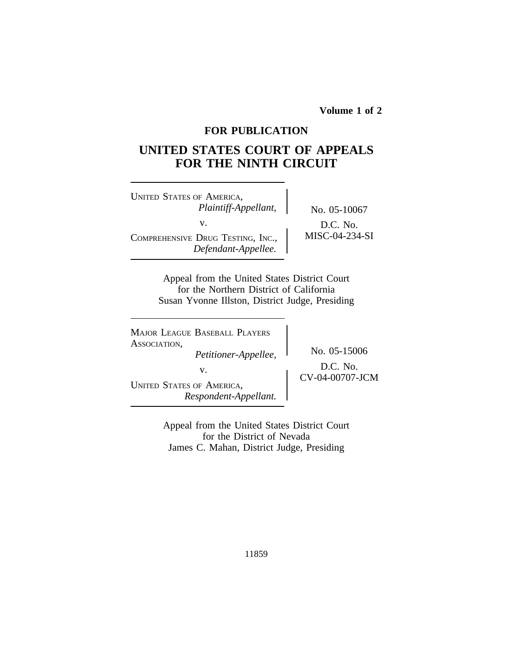**Volume 1 of 2**

## **FOR PUBLICATION**

# **UNITED STATES COURT OF APPEALS FOR THE NINTH CIRCUIT**

<sup>U</sup>NITED STATES OF AMERICA, *Plaintiff-Appellant,* No. 05-10067  $v.$ <br>DRUG TESTING INC MISC-04-234-SI COMPREHENSIVE DRUG TESTING, INC., *Defendant-Appellee.*

Appeal from the United States District Court for the Northern District of California Susan Yvonne Illston, District Judge, Presiding

<sup>M</sup>AJOR LEAGUE BASEBALL PLAYERS ASSOCIATION, Petitioner-Appellee, No. 05-15006<br>v. UNITED STATES OF AMERICA, *Respondent-Appellant.*

CV-04-00707-JCM

Appeal from the United States District Court for the District of Nevada James C. Mahan, District Judge, Presiding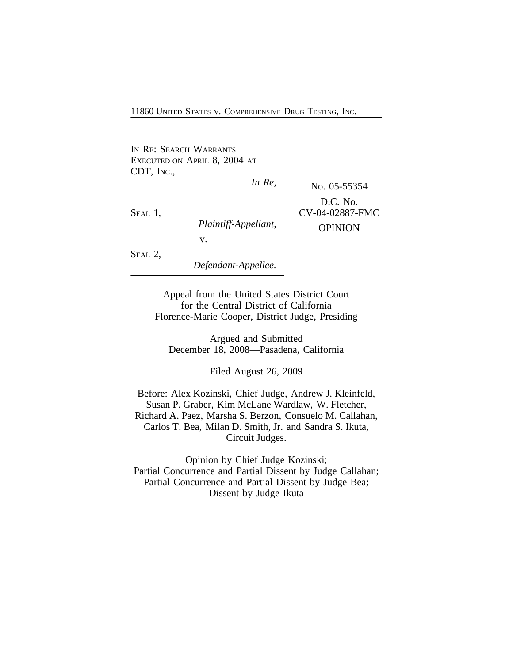11860 UNITED STATES v. COMPREHENSIVE DRUG TESTING, INC.

| IN RE: SEARCH WARRANTS<br>EXECUTED ON APRIL 8, 2004 AT<br>CDT, INC., |                                               |
|----------------------------------------------------------------------|-----------------------------------------------|
| In Re,                                                               | No. 05-55354                                  |
| $SEAL$ 1,<br>Plaintiff-Appellant,<br>V.                              | D.C. No.<br>CV-04-02887-FMC<br><b>OPINION</b> |
| $SEAL$ 2,<br>Defendant-Appellee.                                     |                                               |

Appeal from the United States District Court for the Central District of California Florence-Marie Cooper, District Judge, Presiding

Argued and Submitted December 18, 2008—Pasadena, California

Filed August 26, 2009

Before: Alex Kozinski, Chief Judge, Andrew J. Kleinfeld, Susan P. Graber, Kim McLane Wardlaw, W. Fletcher, Richard A. Paez, Marsha S. Berzon, Consuelo M. Callahan, Carlos T. Bea, Milan D. Smith, Jr. and Sandra S. Ikuta, Circuit Judges.

Opinion by Chief Judge Kozinski; Partial Concurrence and Partial Dissent by Judge Callahan; Partial Concurrence and Partial Dissent by Judge Bea; Dissent by Judge Ikuta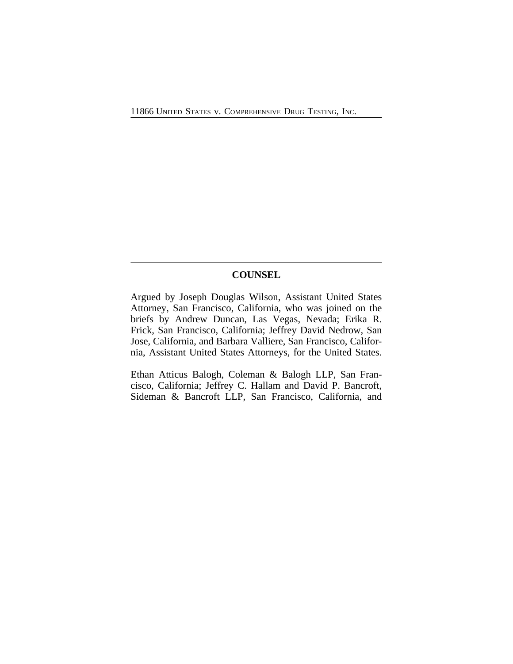## **COUNSEL**

Argued by Joseph Douglas Wilson, Assistant United States Attorney, San Francisco, California, who was joined on the briefs by Andrew Duncan, Las Vegas, Nevada; Erika R. Frick, San Francisco, California; Jeffrey David Nedrow, San Jose, California, and Barbara Valliere, San Francisco, California, Assistant United States Attorneys, for the United States.

Ethan Atticus Balogh, Coleman & Balogh LLP, San Francisco, California; Jeffrey C. Hallam and David P. Bancroft, Sideman & Bancroft LLP, San Francisco, California, and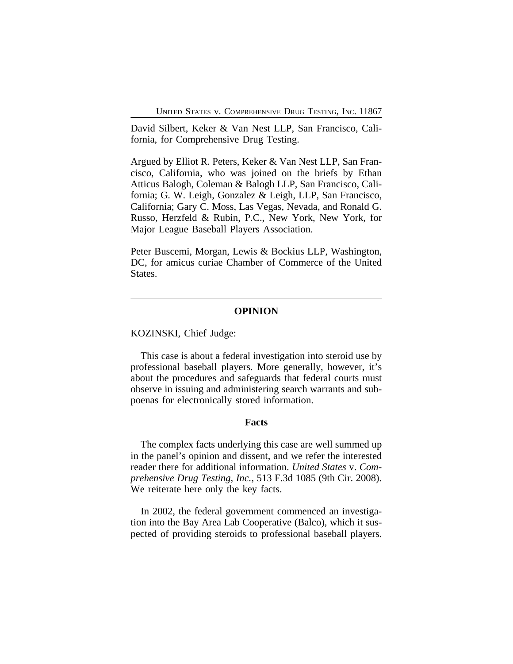David Silbert, Keker & Van Nest LLP, San Francisco, California, for Comprehensive Drug Testing.

Argued by Elliot R. Peters, Keker & Van Nest LLP, San Francisco, California, who was joined on the briefs by Ethan Atticus Balogh, Coleman & Balogh LLP, San Francisco, California; G. W. Leigh, Gonzalez & Leigh, LLP, San Francisco, California; Gary C. Moss, Las Vegas, Nevada, and Ronald G. Russo, Herzfeld & Rubin, P.C., New York, New York, for Major League Baseball Players Association.

Peter Buscemi, Morgan, Lewis & Bockius LLP, Washington, DC, for amicus curiae Chamber of Commerce of the United States.

#### **OPINION**

KOZINSKI, Chief Judge:

This case is about a federal investigation into steroid use by professional baseball players. More generally, however, it's about the procedures and safeguards that federal courts must observe in issuing and administering search warrants and subpoenas for electronically stored information.

## **Facts**

The complex facts underlying this case are well summed up in the panel's opinion and dissent, and we refer the interested reader there for additional information. *United States* v. *Comprehensive Drug Testing, Inc.*, 513 F.3d 1085 (9th Cir. 2008). We reiterate here only the key facts.

In 2002, the federal government commenced an investigation into the Bay Area Lab Cooperative (Balco), which it suspected of providing steroids to professional baseball players.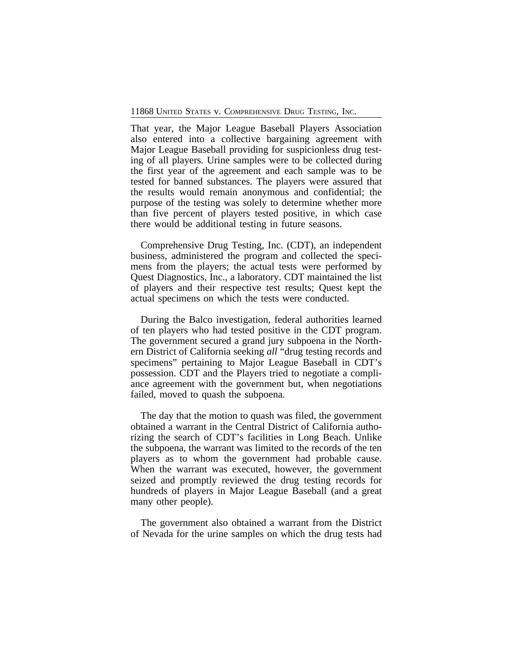That year, the Major League Baseball Players Association also entered into a collective bargaining agreement with Major League Baseball providing for suspicionless drug testing of all players. Urine samples were to be collected during the first year of the agreement and each sample was to be tested for banned substances. The players were assured that the results would remain anonymous and confidential; the purpose of the testing was solely to determine whether more than five percent of players tested positive, in which case there would be additional testing in future seasons.

Comprehensive Drug Testing, Inc. (CDT), an independent business, administered the program and collected the specimens from the players; the actual tests were performed by Quest Diagnostics, Inc., a laboratory. CDT maintained the list of players and their respective test results; Quest kept the actual specimens on which the tests were conducted.

During the Balco investigation, federal authorities learned of ten players who had tested positive in the CDT program. The government secured a grand jury subpoena in the Northern District of California seeking *all* "drug testing records and specimens" pertaining to Major League Baseball in CDT's possession. CDT and the Players tried to negotiate a compliance agreement with the government but, when negotiations failed, moved to quash the subpoena.

The day that the motion to quash was filed, the government obtained a warrant in the Central District of California authorizing the search of CDT's facilities in Long Beach. Unlike the subpoena, the warrant was limited to the records of the ten players as to whom the government had probable cause. When the warrant was executed, however, the government seized and promptly reviewed the drug testing records for hundreds of players in Major League Baseball (and a great many other people).

The government also obtained a warrant from the District of Nevada for the urine samples on which the drug tests had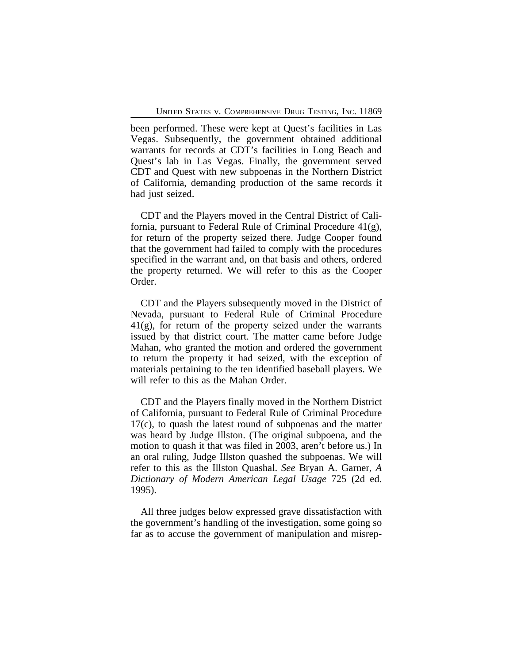been performed. These were kept at Quest's facilities in Las Vegas. Subsequently, the government obtained additional warrants for records at CDT's facilities in Long Beach and Quest's lab in Las Vegas. Finally, the government served CDT and Quest with new subpoenas in the Northern District of California, demanding production of the same records it had just seized.

CDT and the Players moved in the Central District of California, pursuant to Federal Rule of Criminal Procedure 41(g), for return of the property seized there. Judge Cooper found that the government had failed to comply with the procedures specified in the warrant and, on that basis and others, ordered the property returned. We will refer to this as the Cooper Order.

CDT and the Players subsequently moved in the District of Nevada, pursuant to Federal Rule of Criminal Procedure  $41(g)$ , for return of the property seized under the warrants issued by that district court. The matter came before Judge Mahan, who granted the motion and ordered the government to return the property it had seized, with the exception of materials pertaining to the ten identified baseball players. We will refer to this as the Mahan Order.

CDT and the Players finally moved in the Northern District of California, pursuant to Federal Rule of Criminal Procedure 17(c), to quash the latest round of subpoenas and the matter was heard by Judge Illston. (The original subpoena, and the motion to quash it that was filed in 2003, aren't before us.) In an oral ruling, Judge Illston quashed the subpoenas. We will refer to this as the Illston Quashal. *See* Bryan A. Garner, *A Dictionary of Modern American Legal Usage* 725 (2d ed. 1995).

All three judges below expressed grave dissatisfaction with the government's handling of the investigation, some going so far as to accuse the government of manipulation and misrep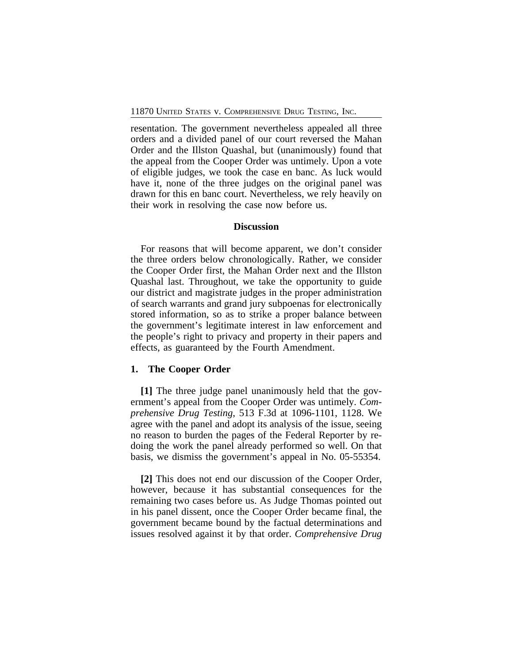resentation. The government nevertheless appealed all three orders and a divided panel of our court reversed the Mahan Order and the Illston Quashal, but (unanimously) found that the appeal from the Cooper Order was untimely. Upon a vote of eligible judges, we took the case en banc. As luck would have it, none of the three judges on the original panel was drawn for this en banc court. Nevertheless, we rely heavily on their work in resolving the case now before us.

## **Discussion**

For reasons that will become apparent, we don't consider the three orders below chronologically. Rather, we consider the Cooper Order first, the Mahan Order next and the Illston Quashal last. Throughout, we take the opportunity to guide our district and magistrate judges in the proper administration of search warrants and grand jury subpoenas for electronically stored information, so as to strike a proper balance between the government's legitimate interest in law enforcement and the people's right to privacy and property in their papers and effects, as guaranteed by the Fourth Amendment.

## **1. The Cooper Order**

**[1]** The three judge panel unanimously held that the government's appeal from the Cooper Order was untimely. *Comprehensive Drug Testing*, 513 F.3d at 1096-1101, 1128. We agree with the panel and adopt its analysis of the issue, seeing no reason to burden the pages of the Federal Reporter by redoing the work the panel already performed so well. On that basis, we dismiss the government's appeal in No. 05-55354.

**[2]** This does not end our discussion of the Cooper Order, however, because it has substantial consequences for the remaining two cases before us. As Judge Thomas pointed out in his panel dissent, once the Cooper Order became final, the government became bound by the factual determinations and issues resolved against it by that order. *Comprehensive Drug*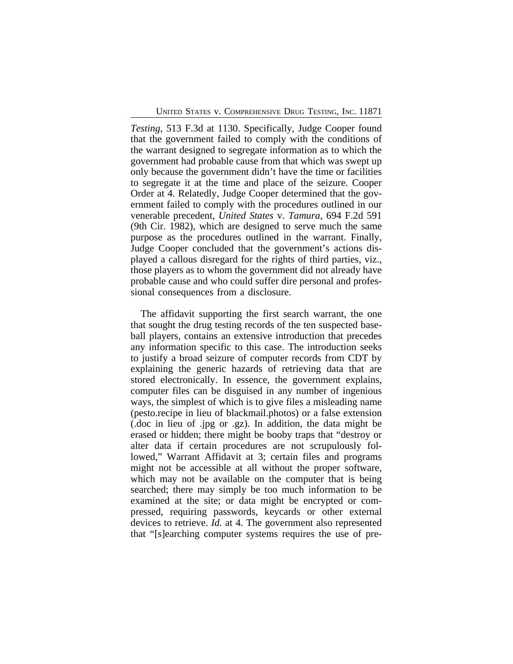*Testing*, 513 F.3d at 1130. Specifically, Judge Cooper found that the government failed to comply with the conditions of the warrant designed to segregate information as to which the government had probable cause from that which was swept up only because the government didn't have the time or facilities to segregate it at the time and place of the seizure. Cooper Order at 4. Relatedly, Judge Cooper determined that the government failed to comply with the procedures outlined in our venerable precedent, *United States* v. *Tamura*, 694 F.2d 591 (9th Cir. 1982), which are designed to serve much the same purpose as the procedures outlined in the warrant. Finally, Judge Cooper concluded that the government's actions displayed a callous disregard for the rights of third parties, viz., those players as to whom the government did not already have probable cause and who could suffer dire personal and professional consequences from a disclosure.

The affidavit supporting the first search warrant, the one that sought the drug testing records of the ten suspected baseball players, contains an extensive introduction that precedes any information specific to this case. The introduction seeks to justify a broad seizure of computer records from CDT by explaining the generic hazards of retrieving data that are stored electronically. In essence, the government explains, computer files can be disguised in any number of ingenious ways, the simplest of which is to give files a misleading name (pesto.recipe in lieu of blackmail.photos) or a false extension (.doc in lieu of .jpg or .gz). In addition, the data might be erased or hidden; there might be booby traps that "destroy or alter data if certain procedures are not scrupulously followed," Warrant Affidavit at 3; certain files and programs might not be accessible at all without the proper software, which may not be available on the computer that is being searched; there may simply be too much information to be examined at the site; or data might be encrypted or compressed, requiring passwords, keycards or other external devices to retrieve. *Id.* at 4. The government also represented that "[s]earching computer systems requires the use of pre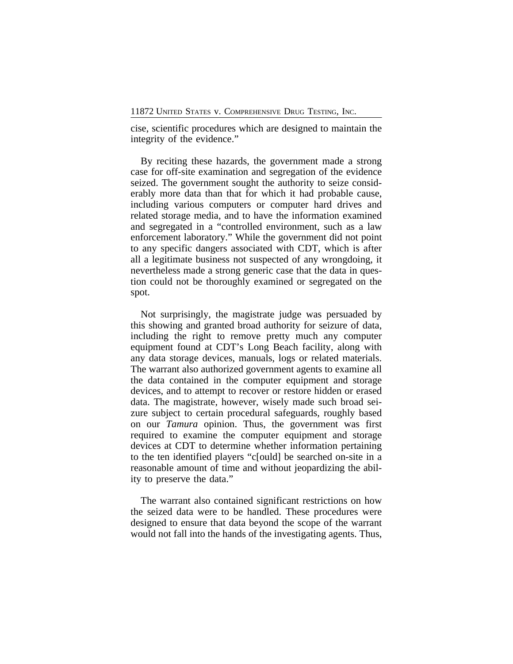cise, scientific procedures which are designed to maintain the integrity of the evidence."

By reciting these hazards, the government made a strong case for off-site examination and segregation of the evidence seized. The government sought the authority to seize considerably more data than that for which it had probable cause, including various computers or computer hard drives and related storage media, and to have the information examined and segregated in a "controlled environment, such as a law enforcement laboratory." While the government did not point to any specific dangers associated with CDT, which is after all a legitimate business not suspected of any wrongdoing, it nevertheless made a strong generic case that the data in question could not be thoroughly examined or segregated on the spot.

Not surprisingly, the magistrate judge was persuaded by this showing and granted broad authority for seizure of data, including the right to remove pretty much any computer equipment found at CDT's Long Beach facility, along with any data storage devices, manuals, logs or related materials. The warrant also authorized government agents to examine all the data contained in the computer equipment and storage devices, and to attempt to recover or restore hidden or erased data. The magistrate, however, wisely made such broad seizure subject to certain procedural safeguards, roughly based on our *Tamura* opinion. Thus, the government was first required to examine the computer equipment and storage devices at CDT to determine whether information pertaining to the ten identified players "c[ould] be searched on-site in a reasonable amount of time and without jeopardizing the ability to preserve the data."

The warrant also contained significant restrictions on how the seized data were to be handled. These procedures were designed to ensure that data beyond the scope of the warrant would not fall into the hands of the investigating agents. Thus,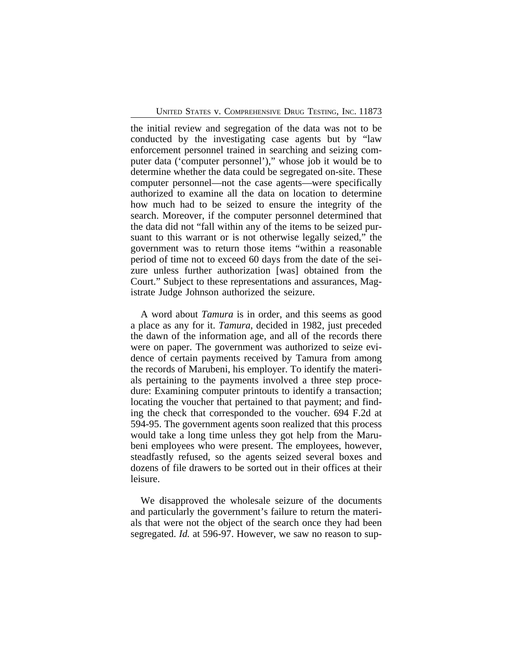the initial review and segregation of the data was not to be conducted by the investigating case agents but by "law enforcement personnel trained in searching and seizing computer data ('computer personnel')," whose job it would be to determine whether the data could be segregated on-site. These computer personnel—not the case agents—were specifically authorized to examine all the data on location to determine how much had to be seized to ensure the integrity of the search. Moreover, if the computer personnel determined that the data did not "fall within any of the items to be seized pursuant to this warrant or is not otherwise legally seized," the government was to return those items "within a reasonable period of time not to exceed 60 days from the date of the seizure unless further authorization [was] obtained from the Court." Subject to these representations and assurances, Magistrate Judge Johnson authorized the seizure.

A word about *Tamura* is in order, and this seems as good a place as any for it. *Tamura*, decided in 1982, just preceded the dawn of the information age, and all of the records there were on paper. The government was authorized to seize evidence of certain payments received by Tamura from among the records of Marubeni, his employer. To identify the materials pertaining to the payments involved a three step procedure: Examining computer printouts to identify a transaction; locating the voucher that pertained to that payment; and finding the check that corresponded to the voucher. 694 F.2d at 594-95. The government agents soon realized that this process would take a long time unless they got help from the Marubeni employees who were present. The employees, however, steadfastly refused, so the agents seized several boxes and dozens of file drawers to be sorted out in their offices at their leisure.

We disapproved the wholesale seizure of the documents and particularly the government's failure to return the materials that were not the object of the search once they had been segregated. *Id.* at 596-97. However, we saw no reason to sup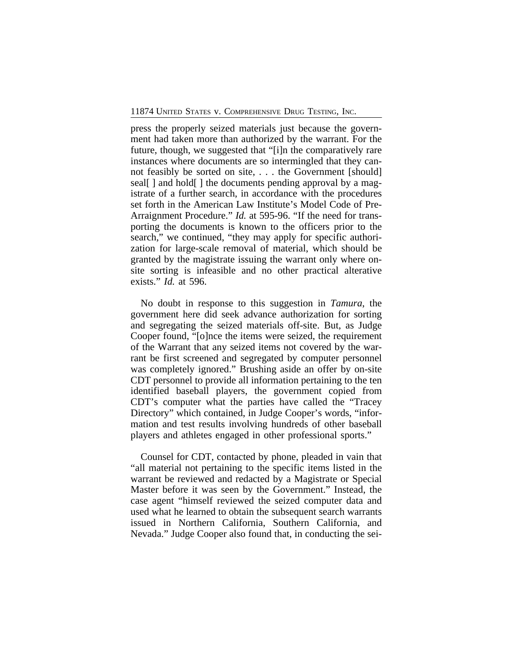press the properly seized materials just because the government had taken more than authorized by the warrant. For the future, though, we suggested that "[i]n the comparatively rare instances where documents are so intermingled that they cannot feasibly be sorted on site, . . . the Government [should] seal[] and hold[] the documents pending approval by a magistrate of a further search, in accordance with the procedures set forth in the American Law Institute's Model Code of Pre-Arraignment Procedure." *Id.* at 595-96. "If the need for transporting the documents is known to the officers prior to the search," we continued, "they may apply for specific authorization for large-scale removal of material, which should be granted by the magistrate issuing the warrant only where onsite sorting is infeasible and no other practical alterative exists." *Id.* at 596.

No doubt in response to this suggestion in *Tamura*, the government here did seek advance authorization for sorting and segregating the seized materials off-site. But, as Judge Cooper found, "[o]nce the items were seized, the requirement of the Warrant that any seized items not covered by the warrant be first screened and segregated by computer personnel was completely ignored." Brushing aside an offer by on-site CDT personnel to provide all information pertaining to the ten identified baseball players, the government copied from CDT's computer what the parties have called the "Tracey Directory" which contained, in Judge Cooper's words, "information and test results involving hundreds of other baseball players and athletes engaged in other professional sports."

Counsel for CDT, contacted by phone, pleaded in vain that "all material not pertaining to the specific items listed in the warrant be reviewed and redacted by a Magistrate or Special Master before it was seen by the Government." Instead, the case agent "himself reviewed the seized computer data and used what he learned to obtain the subsequent search warrants issued in Northern California, Southern California, and Nevada." Judge Cooper also found that, in conducting the sei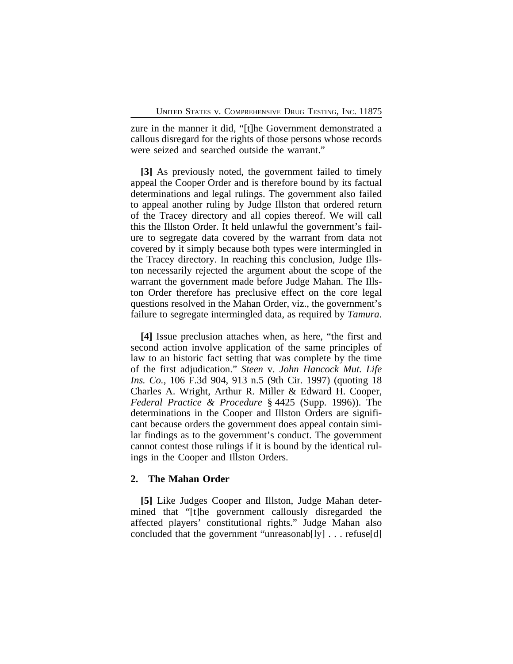zure in the manner it did, "[t]he Government demonstrated a callous disregard for the rights of those persons whose records were seized and searched outside the warrant."

**[3]** As previously noted, the government failed to timely appeal the Cooper Order and is therefore bound by its factual determinations and legal rulings. The government also failed to appeal another ruling by Judge Illston that ordered return of the Tracey directory and all copies thereof. We will call this the Illston Order. It held unlawful the government's failure to segregate data covered by the warrant from data not covered by it simply because both types were intermingled in the Tracey directory. In reaching this conclusion, Judge Illston necessarily rejected the argument about the scope of the warrant the government made before Judge Mahan. The Illston Order therefore has preclusive effect on the core legal questions resolved in the Mahan Order, viz., the government's failure to segregate intermingled data, as required by *Tamura*.

**[4]** Issue preclusion attaches when, as here, "the first and second action involve application of the same principles of law to an historic fact setting that was complete by the time of the first adjudication." *Steen* v. *John Hancock Mut. Life Ins. Co.*, 106 F.3d 904, 913 n.5 (9th Cir. 1997) (quoting 18 Charles A. Wright, Arthur R. Miller & Edward H. Cooper, *Federal Practice & Procedure* § 4425 (Supp. 1996)). The determinations in the Cooper and Illston Orders are significant because orders the government does appeal contain similar findings as to the government's conduct. The government cannot contest those rulings if it is bound by the identical rulings in the Cooper and Illston Orders.

## **2. The Mahan Order**

**[5]** Like Judges Cooper and Illston, Judge Mahan determined that "[t]he government callously disregarded the affected players' constitutional rights." Judge Mahan also concluded that the government "unreasonab[ly] . . . refuse[d]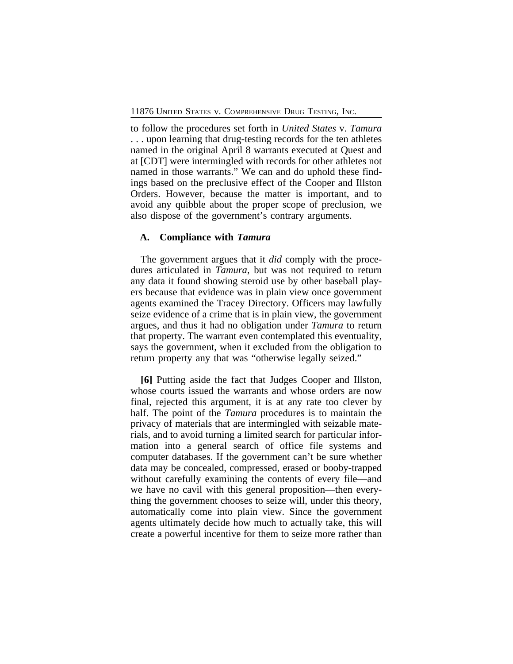to follow the procedures set forth in *United States* v. *Tamura* . . . upon learning that drug-testing records for the ten athletes named in the original April 8 warrants executed at Quest and at [CDT] were intermingled with records for other athletes not named in those warrants." We can and do uphold these findings based on the preclusive effect of the Cooper and Illston Orders. However, because the matter is important, and to avoid any quibble about the proper scope of preclusion, we also dispose of the government's contrary arguments.

## **A. Compliance with** *Tamura*

The government argues that it *did* comply with the procedures articulated in *Tamura*, but was not required to return any data it found showing steroid use by other baseball players because that evidence was in plain view once government agents examined the Tracey Directory. Officers may lawfully seize evidence of a crime that is in plain view, the government argues, and thus it had no obligation under *Tamura* to return that property. The warrant even contemplated this eventuality, says the government, when it excluded from the obligation to return property any that was "otherwise legally seized."

**[6]** Putting aside the fact that Judges Cooper and Illston, whose courts issued the warrants and whose orders are now final, rejected this argument, it is at any rate too clever by half. The point of the *Tamura* procedures is to maintain the privacy of materials that are intermingled with seizable materials, and to avoid turning a limited search for particular information into a general search of office file systems and computer databases. If the government can't be sure whether data may be concealed, compressed, erased or booby-trapped without carefully examining the contents of every file—and we have no cavil with this general proposition—then everything the government chooses to seize will, under this theory, automatically come into plain view. Since the government agents ultimately decide how much to actually take, this will create a powerful incentive for them to seize more rather than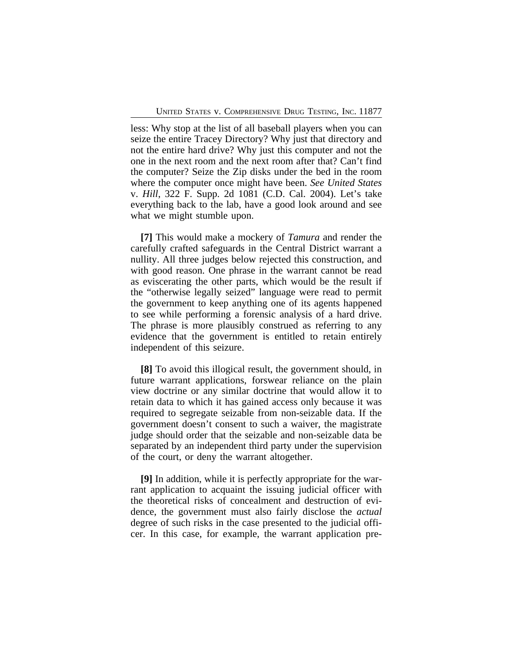less: Why stop at the list of all baseball players when you can seize the entire Tracey Directory? Why just that directory and not the entire hard drive? Why just this computer and not the one in the next room and the next room after that? Can't find the computer? Seize the Zip disks under the bed in the room where the computer once might have been. *See United States* v. *Hill*, 322 F. Supp. 2d 1081 (C.D. Cal. 2004). Let's take everything back to the lab, have a good look around and see what we might stumble upon.

**[7]** This would make a mockery of *Tamura* and render the carefully crafted safeguards in the Central District warrant a nullity. All three judges below rejected this construction, and with good reason. One phrase in the warrant cannot be read as eviscerating the other parts, which would be the result if the "otherwise legally seized" language were read to permit the government to keep anything one of its agents happened to see while performing a forensic analysis of a hard drive. The phrase is more plausibly construed as referring to any evidence that the government is entitled to retain entirely independent of this seizure.

**[8]** To avoid this illogical result, the government should, in future warrant applications, forswear reliance on the plain view doctrine or any similar doctrine that would allow it to retain data to which it has gained access only because it was required to segregate seizable from non-seizable data. If the government doesn't consent to such a waiver, the magistrate judge should order that the seizable and non-seizable data be separated by an independent third party under the supervision of the court, or deny the warrant altogether.

**[9]** In addition, while it is perfectly appropriate for the warrant application to acquaint the issuing judicial officer with the theoretical risks of concealment and destruction of evidence, the government must also fairly disclose the *actual* degree of such risks in the case presented to the judicial officer. In this case, for example, the warrant application pre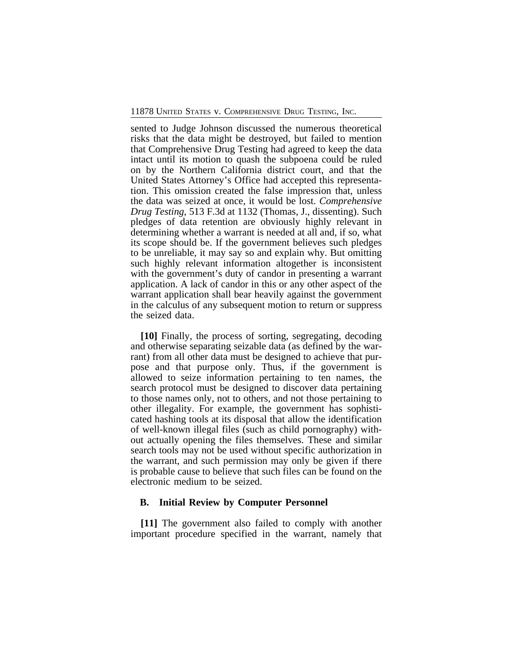sented to Judge Johnson discussed the numerous theoretical risks that the data might be destroyed, but failed to mention that Comprehensive Drug Testing had agreed to keep the data intact until its motion to quash the subpoena could be ruled on by the Northern California district court, and that the United States Attorney's Office had accepted this representation. This omission created the false impression that, unless the data was seized at once, it would be lost. *Comprehensive Drug Testing*, 513 F.3d at 1132 (Thomas, J., dissenting). Such pledges of data retention are obviously highly relevant in determining whether a warrant is needed at all and, if so, what its scope should be. If the government believes such pledges to be unreliable, it may say so and explain why. But omitting such highly relevant information altogether is inconsistent with the government's duty of candor in presenting a warrant application. A lack of candor in this or any other aspect of the warrant application shall bear heavily against the government in the calculus of any subsequent motion to return or suppress the seized data.

**[10]** Finally, the process of sorting, segregating, decoding and otherwise separating seizable data (as defined by the warrant) from all other data must be designed to achieve that purpose and that purpose only. Thus, if the government is allowed to seize information pertaining to ten names, the search protocol must be designed to discover data pertaining to those names only, not to others, and not those pertaining to other illegality. For example, the government has sophisticated hashing tools at its disposal that allow the identification of well-known illegal files (such as child pornography) without actually opening the files themselves. These and similar search tools may not be used without specific authorization in the warrant, and such permission may only be given if there is probable cause to believe that such files can be found on the electronic medium to be seized.

## **B. Initial Review by Computer Personnel**

**[11]** The government also failed to comply with another important procedure specified in the warrant, namely that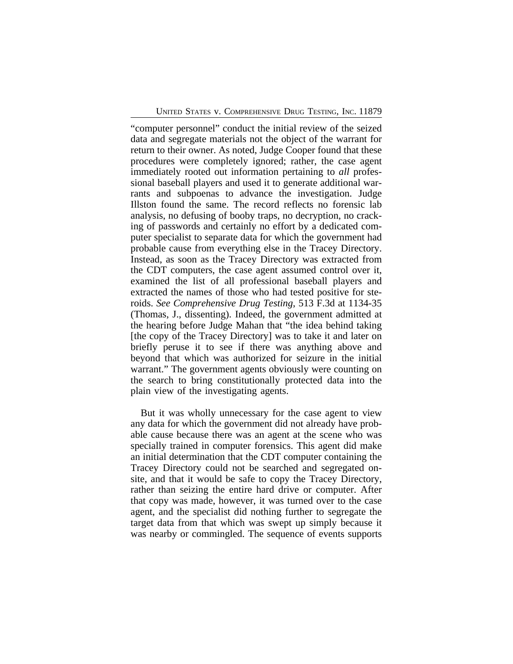"computer personnel" conduct the initial review of the seized data and segregate materials not the object of the warrant for return to their owner. As noted, Judge Cooper found that these procedures were completely ignored; rather, the case agent immediately rooted out information pertaining to *all* professional baseball players and used it to generate additional warrants and subpoenas to advance the investigation. Judge Illston found the same. The record reflects no forensic lab analysis, no defusing of booby traps, no decryption, no cracking of passwords and certainly no effort by a dedicated computer specialist to separate data for which the government had probable cause from everything else in the Tracey Directory. Instead, as soon as the Tracey Directory was extracted from the CDT computers, the case agent assumed control over it, examined the list of all professional baseball players and extracted the names of those who had tested positive for steroids. *See Comprehensive Drug Testing*, 513 F.3d at 1134-35 (Thomas, J., dissenting). Indeed, the government admitted at the hearing before Judge Mahan that "the idea behind taking [the copy of the Tracey Directory] was to take it and later on briefly peruse it to see if there was anything above and beyond that which was authorized for seizure in the initial warrant." The government agents obviously were counting on the search to bring constitutionally protected data into the plain view of the investigating agents.

But it was wholly unnecessary for the case agent to view any data for which the government did not already have probable cause because there was an agent at the scene who was specially trained in computer forensics. This agent did make an initial determination that the CDT computer containing the Tracey Directory could not be searched and segregated onsite, and that it would be safe to copy the Tracey Directory, rather than seizing the entire hard drive or computer. After that copy was made, however, it was turned over to the case agent, and the specialist did nothing further to segregate the target data from that which was swept up simply because it was nearby or commingled. The sequence of events supports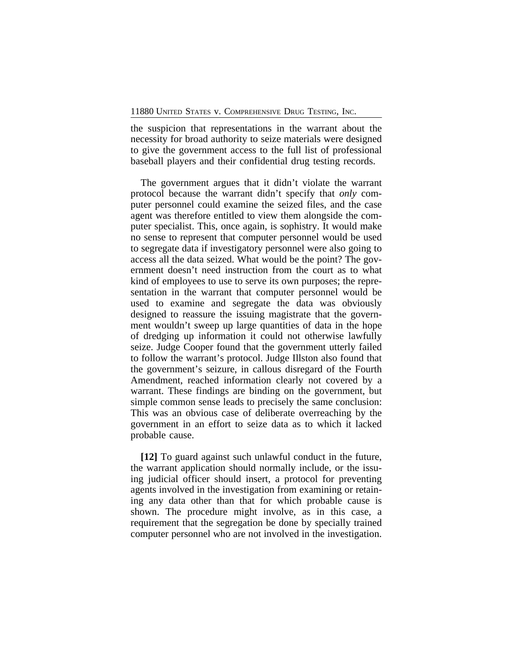the suspicion that representations in the warrant about the necessity for broad authority to seize materials were designed to give the government access to the full list of professional baseball players and their confidential drug testing records.

The government argues that it didn't violate the warrant protocol because the warrant didn't specify that *only* computer personnel could examine the seized files, and the case agent was therefore entitled to view them alongside the computer specialist. This, once again, is sophistry. It would make no sense to represent that computer personnel would be used to segregate data if investigatory personnel were also going to access all the data seized. What would be the point? The government doesn't need instruction from the court as to what kind of employees to use to serve its own purposes; the representation in the warrant that computer personnel would be used to examine and segregate the data was obviously designed to reassure the issuing magistrate that the government wouldn't sweep up large quantities of data in the hope of dredging up information it could not otherwise lawfully seize. Judge Cooper found that the government utterly failed to follow the warrant's protocol. Judge Illston also found that the government's seizure, in callous disregard of the Fourth Amendment, reached information clearly not covered by a warrant. These findings are binding on the government, but simple common sense leads to precisely the same conclusion: This was an obvious case of deliberate overreaching by the government in an effort to seize data as to which it lacked probable cause.

**[12]** To guard against such unlawful conduct in the future, the warrant application should normally include, or the issuing judicial officer should insert, a protocol for preventing agents involved in the investigation from examining or retaining any data other than that for which probable cause is shown. The procedure might involve, as in this case, a requirement that the segregation be done by specially trained computer personnel who are not involved in the investigation.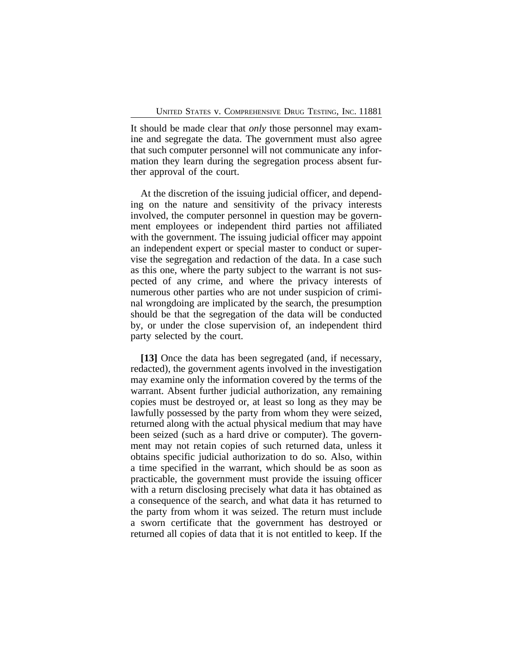It should be made clear that *only* those personnel may examine and segregate the data. The government must also agree that such computer personnel will not communicate any information they learn during the segregation process absent further approval of the court.

At the discretion of the issuing judicial officer, and depending on the nature and sensitivity of the privacy interests involved, the computer personnel in question may be government employees or independent third parties not affiliated with the government. The issuing judicial officer may appoint an independent expert or special master to conduct or supervise the segregation and redaction of the data. In a case such as this one, where the party subject to the warrant is not suspected of any crime, and where the privacy interests of numerous other parties who are not under suspicion of criminal wrongdoing are implicated by the search, the presumption should be that the segregation of the data will be conducted by, or under the close supervision of, an independent third party selected by the court.

**[13]** Once the data has been segregated (and, if necessary, redacted), the government agents involved in the investigation may examine only the information covered by the terms of the warrant. Absent further judicial authorization, any remaining copies must be destroyed or, at least so long as they may be lawfully possessed by the party from whom they were seized, returned along with the actual physical medium that may have been seized (such as a hard drive or computer). The government may not retain copies of such returned data, unless it obtains specific judicial authorization to do so. Also, within a time specified in the warrant, which should be as soon as practicable, the government must provide the issuing officer with a return disclosing precisely what data it has obtained as a consequence of the search, and what data it has returned to the party from whom it was seized. The return must include a sworn certificate that the government has destroyed or returned all copies of data that it is not entitled to keep. If the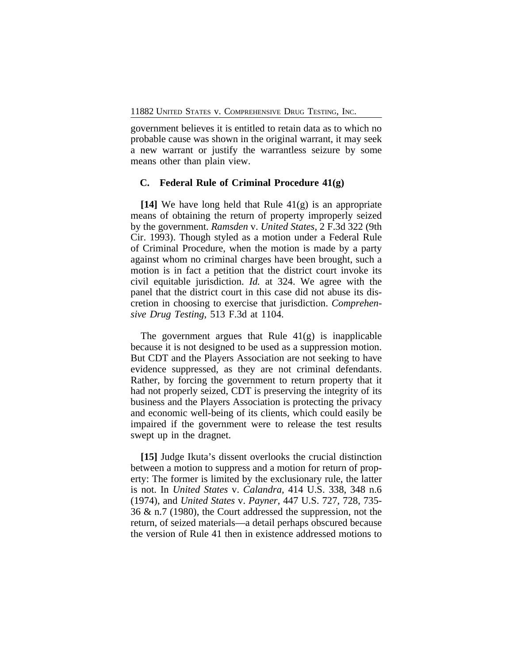government believes it is entitled to retain data as to which no probable cause was shown in the original warrant, it may seek a new warrant or justify the warrantless seizure by some means other than plain view.

#### **C. Federal Rule of Criminal Procedure 41(g)**

**[14]** We have long held that Rule 41(g) is an appropriate means of obtaining the return of property improperly seized by the government. *Ramsden* v. *United States*, 2 F.3d 322 (9th Cir. 1993). Though styled as a motion under a Federal Rule of Criminal Procedure, when the motion is made by a party against whom no criminal charges have been brought, such a motion is in fact a petition that the district court invoke its civil equitable jurisdiction. *Id.* at 324. We agree with the panel that the district court in this case did not abuse its discretion in choosing to exercise that jurisdiction. *Comprehensive Drug Testing*, 513 F.3d at 1104.

The government argues that Rule  $41(g)$  is inapplicable because it is not designed to be used as a suppression motion. But CDT and the Players Association are not seeking to have evidence suppressed, as they are not criminal defendants. Rather, by forcing the government to return property that it had not properly seized, CDT is preserving the integrity of its business and the Players Association is protecting the privacy and economic well-being of its clients, which could easily be impaired if the government were to release the test results swept up in the dragnet.

**[15]** Judge Ikuta's dissent overlooks the crucial distinction between a motion to suppress and a motion for return of property: The former is limited by the exclusionary rule, the latter is not. In *United States* v. *Calandra*, 414 U.S. 338, 348 n.6 (1974), and *United States* v. *Payner*, 447 U.S. 727, 728, 735- 36 & n.7 (1980), the Court addressed the suppression, not the return, of seized materials—a detail perhaps obscured because the version of Rule 41 then in existence addressed motions to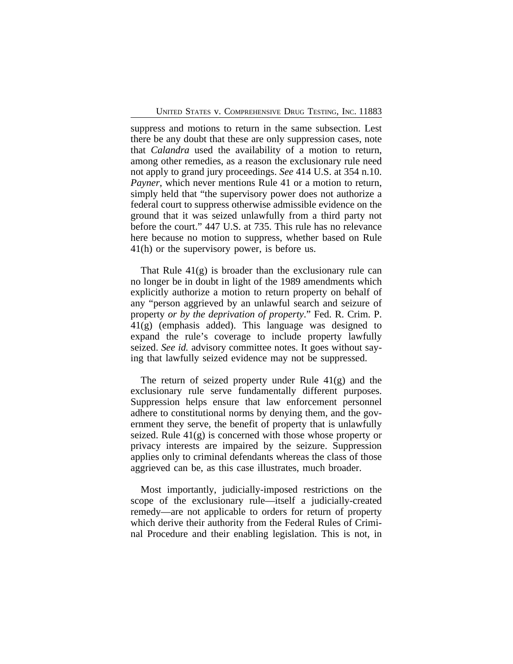suppress and motions to return in the same subsection. Lest there be any doubt that these are only suppression cases, note that *Calandra* used the availability of a motion to return, among other remedies, as a reason the exclusionary rule need not apply to grand jury proceedings. *See* 414 U.S. at 354 n.10. *Payner*, which never mentions Rule 41 or a motion to return, simply held that "the supervisory power does not authorize a federal court to suppress otherwise admissible evidence on the ground that it was seized unlawfully from a third party not before the court." 447 U.S. at 735. This rule has no relevance here because no motion to suppress, whether based on Rule 41(h) or the supervisory power, is before us.

That Rule  $41(g)$  is broader than the exclusionary rule can no longer be in doubt in light of the 1989 amendments which explicitly authorize a motion to return property on behalf of any "person aggrieved by an unlawful search and seizure of property *or by the deprivation of property*." Fed. R. Crim. P. 41(g) (emphasis added). This language was designed to expand the rule's coverage to include property lawfully seized. *See id.* advisory committee notes. It goes without saying that lawfully seized evidence may not be suppressed.

The return of seized property under Rule 41(g) and the exclusionary rule serve fundamentally different purposes. Suppression helps ensure that law enforcement personnel adhere to constitutional norms by denying them, and the government they serve, the benefit of property that is unlawfully seized. Rule  $41(g)$  is concerned with those whose property or privacy interests are impaired by the seizure. Suppression applies only to criminal defendants whereas the class of those aggrieved can be, as this case illustrates, much broader.

Most importantly, judicially-imposed restrictions on the scope of the exclusionary rule—itself a judicially-created remedy—are not applicable to orders for return of property which derive their authority from the Federal Rules of Criminal Procedure and their enabling legislation. This is not, in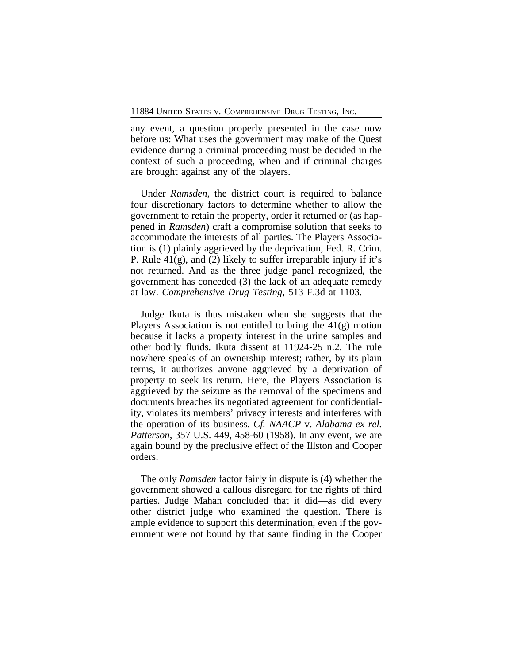any event, a question properly presented in the case now before us: What uses the government may make of the Quest evidence during a criminal proceeding must be decided in the context of such a proceeding, when and if criminal charges are brought against any of the players.

Under *Ramsden*, the district court is required to balance four discretionary factors to determine whether to allow the government to retain the property, order it returned or (as happened in *Ramsden*) craft a compromise solution that seeks to accommodate the interests of all parties. The Players Association is (1) plainly aggrieved by the deprivation, Fed. R. Crim. P. Rule  $41(g)$ , and (2) likely to suffer irreparable injury if it's not returned. And as the three judge panel recognized, the government has conceded (3) the lack of an adequate remedy at law. *Comprehensive Drug Testing*, 513 F.3d at 1103.

Judge Ikuta is thus mistaken when she suggests that the Players Association is not entitled to bring the 41(g) motion because it lacks a property interest in the urine samples and other bodily fluids. Ikuta dissent at 11924-25 n.2. The rule nowhere speaks of an ownership interest; rather, by its plain terms, it authorizes anyone aggrieved by a deprivation of property to seek its return. Here, the Players Association is aggrieved by the seizure as the removal of the specimens and documents breaches its negotiated agreement for confidentiality, violates its members' privacy interests and interferes with the operation of its business. *Cf. NAACP* v. *Alabama ex rel. Patterson*, 357 U.S. 449, 458-60 (1958). In any event, we are again bound by the preclusive effect of the Illston and Cooper orders.

The only *Ramsden* factor fairly in dispute is (4) whether the government showed a callous disregard for the rights of third parties. Judge Mahan concluded that it did—as did every other district judge who examined the question. There is ample evidence to support this determination, even if the government were not bound by that same finding in the Cooper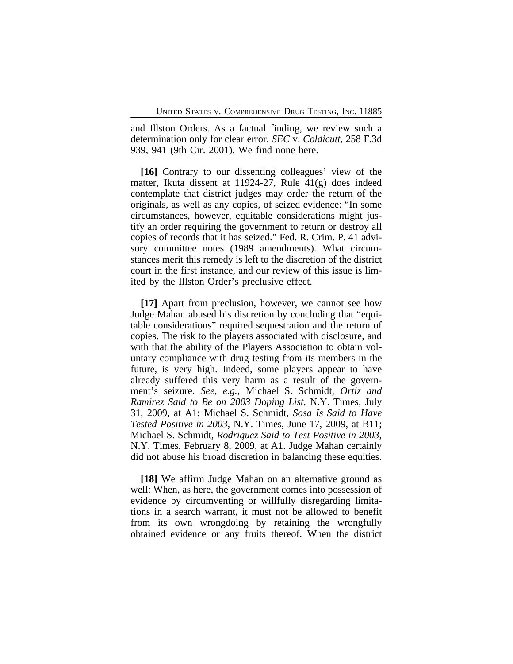and Illston Orders. As a factual finding, we review such a determination only for clear error. *SEC* v. *Coldicutt*, 258 F.3d 939, 941 (9th Cir. 2001). We find none here.

**[16]** Contrary to our dissenting colleagues' view of the matter, Ikuta dissent at 11924-27, Rule 41(g) does indeed contemplate that district judges may order the return of the originals, as well as any copies, of seized evidence: "In some circumstances, however, equitable considerations might justify an order requiring the government to return or destroy all copies of records that it has seized." Fed. R. Crim. P. 41 advisory committee notes (1989 amendments). What circumstances merit this remedy is left to the discretion of the district court in the first instance, and our review of this issue is limited by the Illston Order's preclusive effect.

**[17]** Apart from preclusion, however, we cannot see how Judge Mahan abused his discretion by concluding that "equitable considerations" required sequestration and the return of copies. The risk to the players associated with disclosure, and with that the ability of the Players Association to obtain voluntary compliance with drug testing from its members in the future, is very high. Indeed, some players appear to have already suffered this very harm as a result of the government's seizure. *See, e.g.*, Michael S. Schmidt, *Ortiz and Ramirez Said to Be on 2003 Doping List*, N.Y. Times, July 31, 2009, at A1; Michael S. Schmidt, *Sosa Is Said to Have Tested Positive in 2003*, N.Y. Times, June 17, 2009, at B11; Michael S. Schmidt, *Rodriguez Said to Test Positive in 2003*, N.Y. Times, February 8, 2009, at A1. Judge Mahan certainly did not abuse his broad discretion in balancing these equities.

**[18]** We affirm Judge Mahan on an alternative ground as well: When, as here, the government comes into possession of evidence by circumventing or willfully disregarding limitations in a search warrant, it must not be allowed to benefit from its own wrongdoing by retaining the wrongfully obtained evidence or any fruits thereof. When the district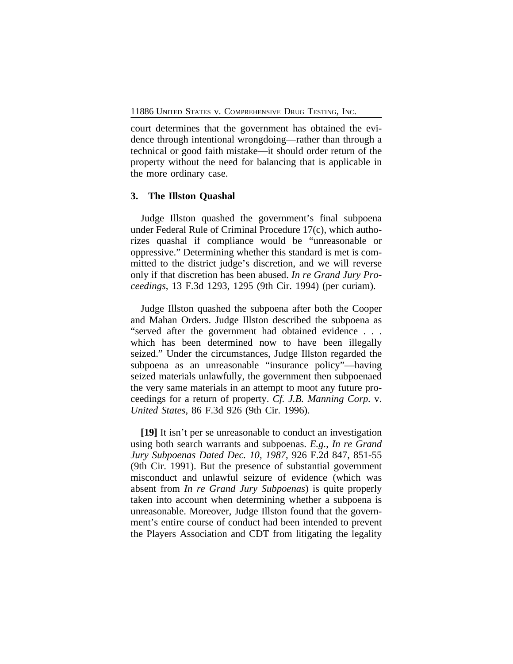court determines that the government has obtained the evidence through intentional wrongdoing—rather than through a technical or good faith mistake—it should order return of the property without the need for balancing that is applicable in the more ordinary case.

#### **3. The Illston Quashal**

Judge Illston quashed the government's final subpoena under Federal Rule of Criminal Procedure 17(c), which authorizes quashal if compliance would be "unreasonable or oppressive." Determining whether this standard is met is committed to the district judge's discretion, and we will reverse only if that discretion has been abused. *In re Grand Jury Proceedings*, 13 F.3d 1293, 1295 (9th Cir. 1994) (per curiam).

Judge Illston quashed the subpoena after both the Cooper and Mahan Orders. Judge Illston described the subpoena as "served after the government had obtained evidence . . . which has been determined now to have been illegally seized." Under the circumstances, Judge Illston regarded the subpoena as an unreasonable "insurance policy"—having seized materials unlawfully, the government then subpoenaed the very same materials in an attempt to moot any future proceedings for a return of property. *Cf. J.B. Manning Corp.* v. *United States*, 86 F.3d 926 (9th Cir. 1996).

**[19]** It isn't per se unreasonable to conduct an investigation using both search warrants and subpoenas. *E.g.*, *In re Grand Jury Subpoenas Dated Dec. 10, 1987*, 926 F.2d 847, 851-55 (9th Cir. 1991). But the presence of substantial government misconduct and unlawful seizure of evidence (which was absent from *In re Grand Jury Subpoenas*) is quite properly taken into account when determining whether a subpoena is unreasonable. Moreover, Judge Illston found that the government's entire course of conduct had been intended to prevent the Players Association and CDT from litigating the legality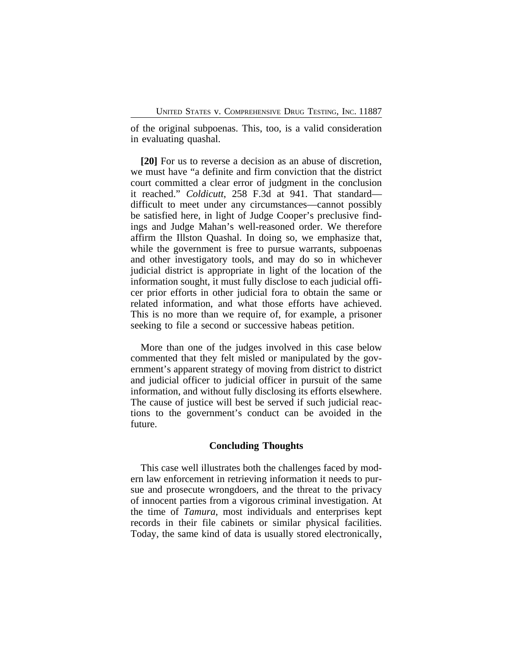of the original subpoenas. This, too, is a valid consideration in evaluating quashal.

**[20]** For us to reverse a decision as an abuse of discretion, we must have "a definite and firm conviction that the district court committed a clear error of judgment in the conclusion it reached." *Coldicutt*, 258 F.3d at 941. That standard difficult to meet under any circumstances—cannot possibly be satisfied here, in light of Judge Cooper's preclusive findings and Judge Mahan's well-reasoned order. We therefore affirm the Illston Quashal. In doing so, we emphasize that, while the government is free to pursue warrants, subpoenas and other investigatory tools, and may do so in whichever judicial district is appropriate in light of the location of the information sought, it must fully disclose to each judicial officer prior efforts in other judicial fora to obtain the same or related information, and what those efforts have achieved. This is no more than we require of, for example, a prisoner seeking to file a second or successive habeas petition.

More than one of the judges involved in this case below commented that they felt misled or manipulated by the government's apparent strategy of moving from district to district and judicial officer to judicial officer in pursuit of the same information, and without fully disclosing its efforts elsewhere. The cause of justice will best be served if such judicial reactions to the government's conduct can be avoided in the future.

#### **Concluding Thoughts**

This case well illustrates both the challenges faced by modern law enforcement in retrieving information it needs to pursue and prosecute wrongdoers, and the threat to the privacy of innocent parties from a vigorous criminal investigation. At the time of *Tamura*, most individuals and enterprises kept records in their file cabinets or similar physical facilities. Today, the same kind of data is usually stored electronically,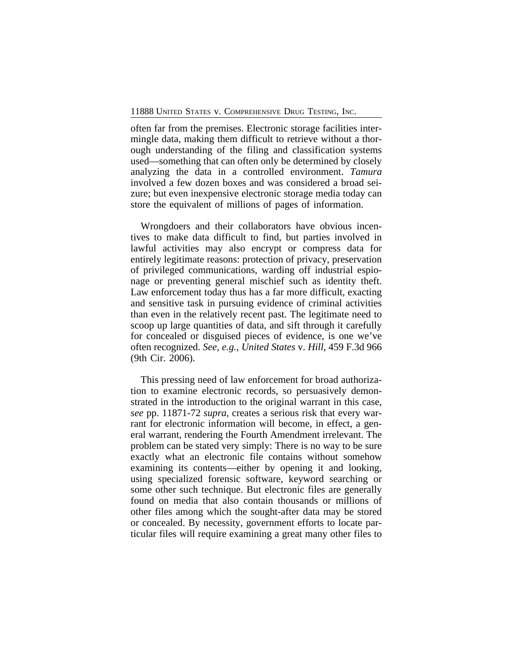often far from the premises. Electronic storage facilities intermingle data, making them difficult to retrieve without a thorough understanding of the filing and classification systems used—something that can often only be determined by closely analyzing the data in a controlled environment. *Tamura* involved a few dozen boxes and was considered a broad seizure; but even inexpensive electronic storage media today can store the equivalent of millions of pages of information.

Wrongdoers and their collaborators have obvious incentives to make data difficult to find, but parties involved in lawful activities may also encrypt or compress data for entirely legitimate reasons: protection of privacy, preservation of privileged communications, warding off industrial espionage or preventing general mischief such as identity theft. Law enforcement today thus has a far more difficult, exacting and sensitive task in pursuing evidence of criminal activities than even in the relatively recent past. The legitimate need to scoop up large quantities of data, and sift through it carefully for concealed or disguised pieces of evidence, is one we've often recognized. *See, e.g.*, *United States* v. *Hill*, 459 F.3d 966 (9th Cir. 2006).

This pressing need of law enforcement for broad authorization to examine electronic records, so persuasively demonstrated in the introduction to the original warrant in this case, *see* pp. 11871-72 *supra*, creates a serious risk that every warrant for electronic information will become, in effect, a general warrant, rendering the Fourth Amendment irrelevant. The problem can be stated very simply: There is no way to be sure exactly what an electronic file contains without somehow examining its contents—either by opening it and looking, using specialized forensic software, keyword searching or some other such technique. But electronic files are generally found on media that also contain thousands or millions of other files among which the sought-after data may be stored or concealed. By necessity, government efforts to locate particular files will require examining a great many other files to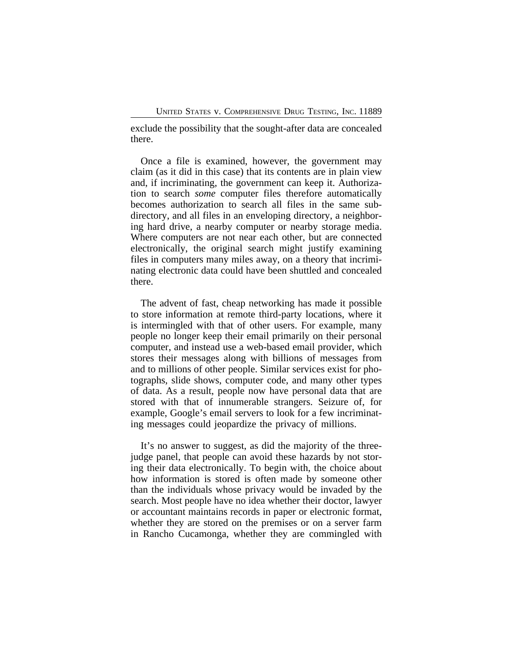exclude the possibility that the sought-after data are concealed there.

Once a file is examined, however, the government may claim (as it did in this case) that its contents are in plain view and, if incriminating, the government can keep it. Authorization to search *some* computer files therefore automatically becomes authorization to search all files in the same subdirectory, and all files in an enveloping directory, a neighboring hard drive, a nearby computer or nearby storage media. Where computers are not near each other, but are connected electronically, the original search might justify examining files in computers many miles away, on a theory that incriminating electronic data could have been shuttled and concealed there.

The advent of fast, cheap networking has made it possible to store information at remote third-party locations, where it is intermingled with that of other users. For example, many people no longer keep their email primarily on their personal computer, and instead use a web-based email provider, which stores their messages along with billions of messages from and to millions of other people. Similar services exist for photographs, slide shows, computer code, and many other types of data. As a result, people now have personal data that are stored with that of innumerable strangers. Seizure of, for example, Google's email servers to look for a few incriminating messages could jeopardize the privacy of millions.

It's no answer to suggest, as did the majority of the threejudge panel, that people can avoid these hazards by not storing their data electronically. To begin with, the choice about how information is stored is often made by someone other than the individuals whose privacy would be invaded by the search. Most people have no idea whether their doctor, lawyer or accountant maintains records in paper or electronic format, whether they are stored on the premises or on a server farm in Rancho Cucamonga, whether they are commingled with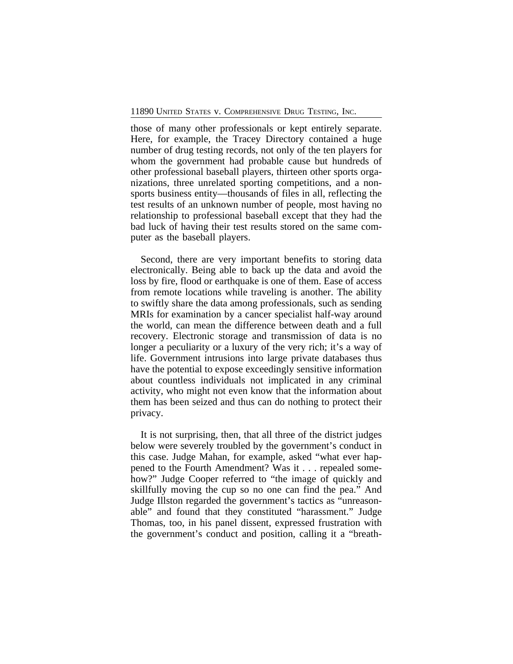those of many other professionals or kept entirely separate. Here, for example, the Tracey Directory contained a huge number of drug testing records, not only of the ten players for whom the government had probable cause but hundreds of other professional baseball players, thirteen other sports organizations, three unrelated sporting competitions, and a nonsports business entity—thousands of files in all, reflecting the test results of an unknown number of people, most having no relationship to professional baseball except that they had the bad luck of having their test results stored on the same computer as the baseball players.

Second, there are very important benefits to storing data electronically. Being able to back up the data and avoid the loss by fire, flood or earthquake is one of them. Ease of access from remote locations while traveling is another. The ability to swiftly share the data among professionals, such as sending MRIs for examination by a cancer specialist half-way around the world, can mean the difference between death and a full recovery. Electronic storage and transmission of data is no longer a peculiarity or a luxury of the very rich; it's a way of life. Government intrusions into large private databases thus have the potential to expose exceedingly sensitive information about countless individuals not implicated in any criminal activity, who might not even know that the information about them has been seized and thus can do nothing to protect their privacy.

It is not surprising, then, that all three of the district judges below were severely troubled by the government's conduct in this case. Judge Mahan, for example, asked "what ever happened to the Fourth Amendment? Was it . . . repealed somehow?" Judge Cooper referred to "the image of quickly and skillfully moving the cup so no one can find the pea." And Judge Illston regarded the government's tactics as "unreasonable" and found that they constituted "harassment." Judge Thomas, too, in his panel dissent, expressed frustration with the government's conduct and position, calling it a "breath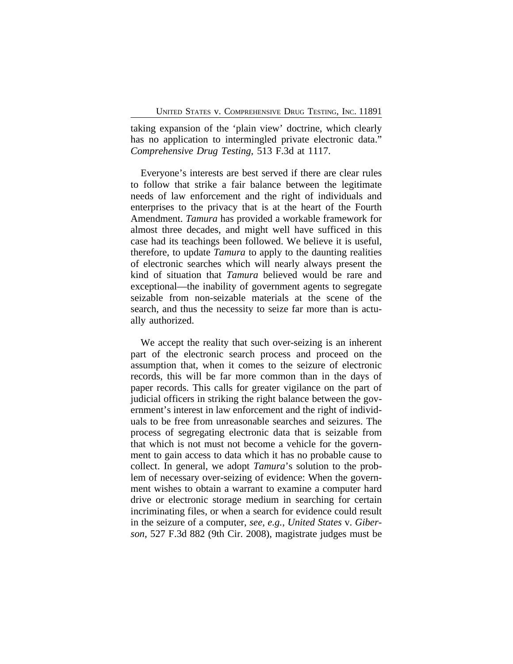taking expansion of the 'plain view' doctrine, which clearly has no application to intermingled private electronic data." *Comprehensive Drug Testing*, 513 F.3d at 1117.

Everyone's interests are best served if there are clear rules to follow that strike a fair balance between the legitimate needs of law enforcement and the right of individuals and enterprises to the privacy that is at the heart of the Fourth Amendment. *Tamura* has provided a workable framework for almost three decades, and might well have sufficed in this case had its teachings been followed. We believe it is useful, therefore, to update *Tamura* to apply to the daunting realities of electronic searches which will nearly always present the kind of situation that *Tamura* believed would be rare and exceptional—the inability of government agents to segregate seizable from non-seizable materials at the scene of the search, and thus the necessity to seize far more than is actually authorized.

We accept the reality that such over-seizing is an inherent part of the electronic search process and proceed on the assumption that, when it comes to the seizure of electronic records, this will be far more common than in the days of paper records. This calls for greater vigilance on the part of judicial officers in striking the right balance between the government's interest in law enforcement and the right of individuals to be free from unreasonable searches and seizures. The process of segregating electronic data that is seizable from that which is not must not become a vehicle for the government to gain access to data which it has no probable cause to collect. In general, we adopt *Tamura*'s solution to the problem of necessary over-seizing of evidence: When the government wishes to obtain a warrant to examine a computer hard drive or electronic storage medium in searching for certain incriminating files, or when a search for evidence could result in the seizure of a computer, *see, e.g.*, *United States* v. *Giberson*, 527 F.3d 882 (9th Cir. 2008), magistrate judges must be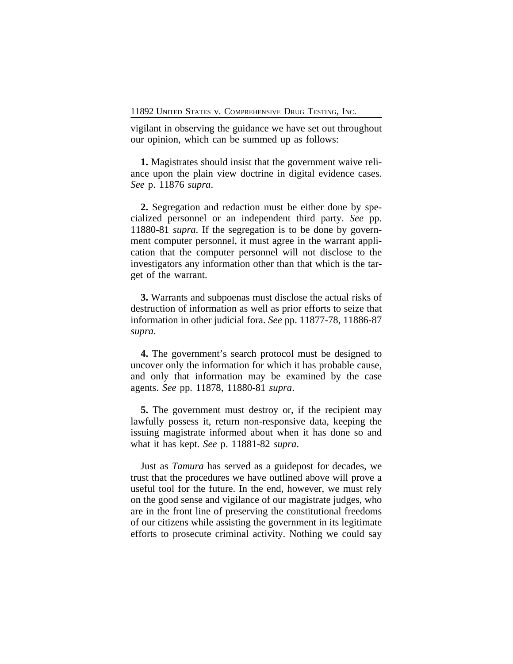vigilant in observing the guidance we have set out throughout our opinion, which can be summed up as follows:

**1.** Magistrates should insist that the government waive reliance upon the plain view doctrine in digital evidence cases. *See* p. 11876 *supra*.

**2.** Segregation and redaction must be either done by specialized personnel or an independent third party. *See* pp. 11880-81 *supra*. If the segregation is to be done by government computer personnel, it must agree in the warrant application that the computer personnel will not disclose to the investigators any information other than that which is the target of the warrant.

**3.** Warrants and subpoenas must disclose the actual risks of destruction of information as well as prior efforts to seize that information in other judicial fora. *See* pp. 11877-78, 11886-87 *supra*.

**4.** The government's search protocol must be designed to uncover only the information for which it has probable cause, and only that information may be examined by the case agents. *See* pp. 11878, 11880-81 *supra*.

**5.** The government must destroy or, if the recipient may lawfully possess it, return non-responsive data, keeping the issuing magistrate informed about when it has done so and what it has kept. *See* p. 11881-82 *supra*.

Just as *Tamura* has served as a guidepost for decades, we trust that the procedures we have outlined above will prove a useful tool for the future. In the end, however, we must rely on the good sense and vigilance of our magistrate judges, who are in the front line of preserving the constitutional freedoms of our citizens while assisting the government in its legitimate efforts to prosecute criminal activity. Nothing we could say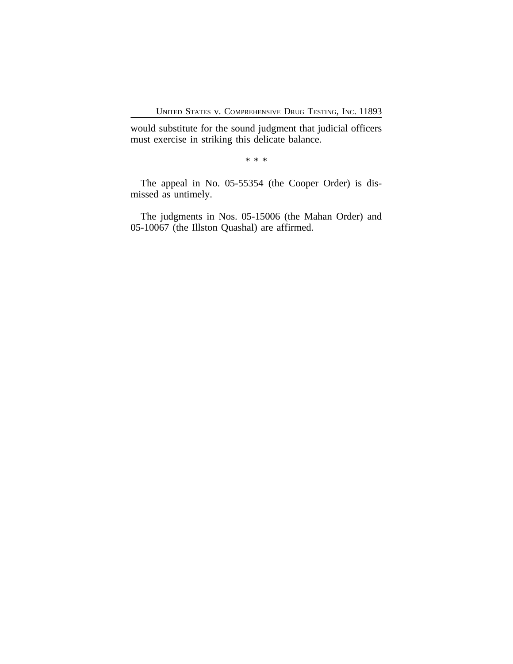would substitute for the sound judgment that judicial officers must exercise in striking this delicate balance.

\* \* \*

The appeal in No. 05-55354 (the Cooper Order) is dismissed as untimely.

The judgments in Nos. 05-15006 (the Mahan Order) and 05-10067 (the Illston Quashal) are affirmed.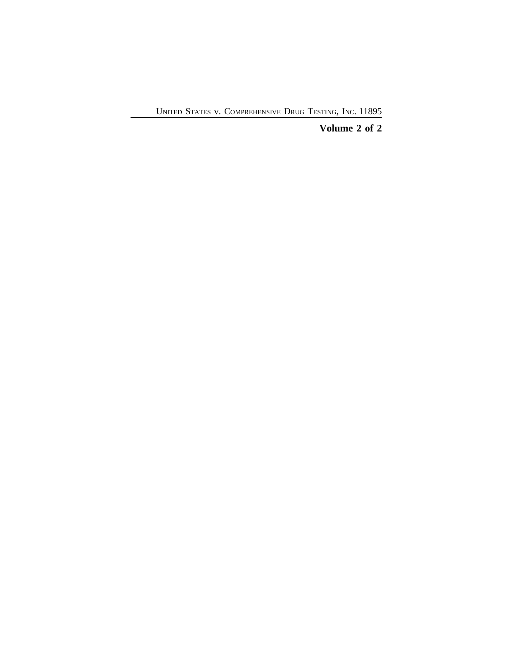UNITED STATES v. COMPREHENSIVE DRUG TESTING, INC. 11895

**Volume 2 of 2**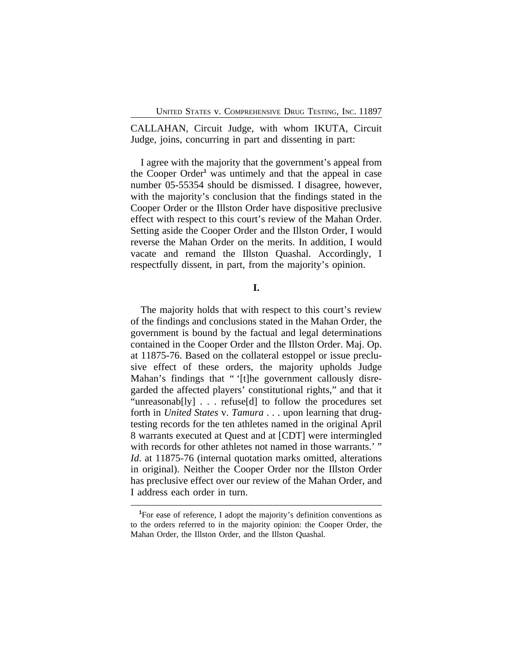CALLAHAN, Circuit Judge, with whom IKUTA, Circuit Judge, joins, concurring in part and dissenting in part:

I agree with the majority that the government's appeal from the Cooper Order**<sup>1</sup>** was untimely and that the appeal in case number 05-55354 should be dismissed. I disagree, however, with the majority's conclusion that the findings stated in the Cooper Order or the Illston Order have dispositive preclusive effect with respect to this court's review of the Mahan Order. Setting aside the Cooper Order and the Illston Order, I would reverse the Mahan Order on the merits. In addition, I would vacate and remand the Illston Quashal. Accordingly, I respectfully dissent, in part, from the majority's opinion.

## **I.**

The majority holds that with respect to this court's review of the findings and conclusions stated in the Mahan Order, the government is bound by the factual and legal determinations contained in the Cooper Order and the Illston Order. Maj. Op. at 11875-76. Based on the collateral estoppel or issue preclusive effect of these orders, the majority upholds Judge Mahan's findings that " '[t]he government callously disregarded the affected players' constitutional rights," and that it "unreasonab[ly] . . . refuse[d] to follow the procedures set forth in *United States* v. *Tamura* . . . upon learning that drugtesting records for the ten athletes named in the original April 8 warrants executed at Quest and at [CDT] were intermingled with records for other athletes not named in those warrants.' " *Id.* at 11875-76 (internal quotation marks omitted, alterations in original). Neither the Cooper Order nor the Illston Order has preclusive effect over our review of the Mahan Order, and I address each order in turn.

**<sup>1</sup>**For ease of reference, I adopt the majority's definition conventions as to the orders referred to in the majority opinion: the Cooper Order, the Mahan Order, the Illston Order, and the Illston Quashal.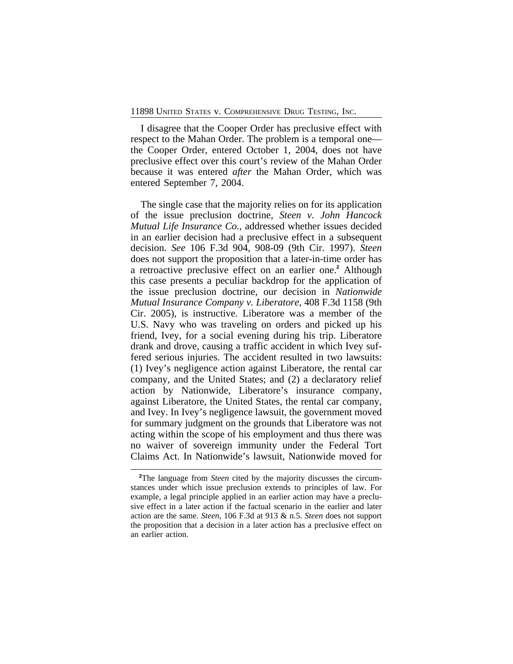I disagree that the Cooper Order has preclusive effect with respect to the Mahan Order. The problem is a temporal one the Cooper Order, entered October 1, 2004, does not have preclusive effect over this court's review of the Mahan Order because it was entered *after* the Mahan Order, which was entered September 7, 2004.

The single case that the majority relies on for its application of the issue preclusion doctrine, *Steen v. John Hancock Mutual Life Insurance Co.*, addressed whether issues decided in an earlier decision had a preclusive effect in a subsequent decision. *See* 106 F.3d 904, 908-09 (9th Cir. 1997). *Steen* does not support the proposition that a later-in-time order has a retroactive preclusive effect on an earlier one.**<sup>2</sup>** Although this case presents a peculiar backdrop for the application of the issue preclusion doctrine, our decision in *Nationwide Mutual Insurance Company v. Liberatore*, 408 F.3d 1158 (9th Cir. 2005), is instructive. Liberatore was a member of the U.S. Navy who was traveling on orders and picked up his friend, Ivey, for a social evening during his trip. Liberatore drank and drove, causing a traffic accident in which Ivey suffered serious injuries. The accident resulted in two lawsuits: (1) Ivey's negligence action against Liberatore, the rental car company, and the United States; and (2) a declaratory relief action by Nationwide, Liberatore's insurance company, against Liberatore, the United States, the rental car company, and Ivey. In Ivey's negligence lawsuit, the government moved for summary judgment on the grounds that Liberatore was not acting within the scope of his employment and thus there was no waiver of sovereign immunity under the Federal Tort Claims Act. In Nationwide's lawsuit, Nationwide moved for

**<sup>2</sup>**The language from *Steen* cited by the majority discusses the circumstances under which issue preclusion extends to principles of law. For example, a legal principle applied in an earlier action may have a preclusive effect in a later action if the factual scenario in the earlier and later action are the same. *Steen*, 106 F.3d at 913 & n.5. *Steen* does not support the proposition that a decision in a later action has a preclusive effect on an earlier action.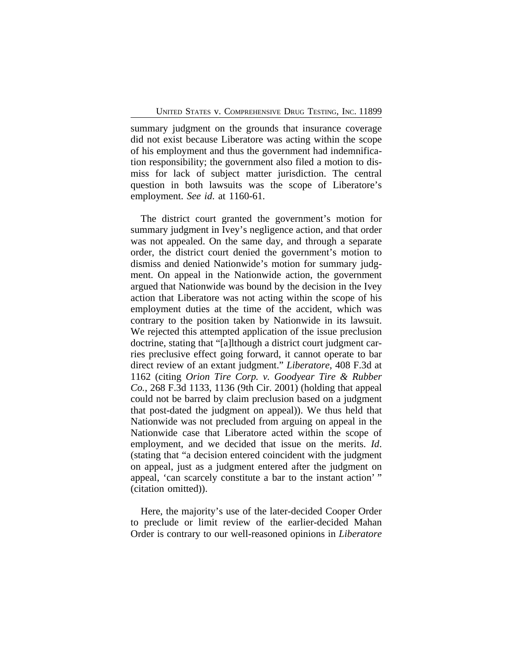summary judgment on the grounds that insurance coverage did not exist because Liberatore was acting within the scope of his employment and thus the government had indemnification responsibility; the government also filed a motion to dismiss for lack of subject matter jurisdiction. The central question in both lawsuits was the scope of Liberatore's employment. *See id*. at 1160-61.

The district court granted the government's motion for summary judgment in Ivey's negligence action, and that order was not appealed. On the same day, and through a separate order, the district court denied the government's motion to dismiss and denied Nationwide's motion for summary judgment. On appeal in the Nationwide action, the government argued that Nationwide was bound by the decision in the Ivey action that Liberatore was not acting within the scope of his employment duties at the time of the accident, which was contrary to the position taken by Nationwide in its lawsuit. We rejected this attempted application of the issue preclusion doctrine, stating that "[a]lthough a district court judgment carries preclusive effect going forward, it cannot operate to bar direct review of an extant judgment." *Liberatore*, 408 F.3d at 1162 (citing *Orion Tire Corp. v. Goodyear Tire & Rubber Co.*, 268 F.3d 1133, 1136 (9th Cir. 2001) (holding that appeal could not be barred by claim preclusion based on a judgment that post-dated the judgment on appeal)). We thus held that Nationwide was not precluded from arguing on appeal in the Nationwide case that Liberatore acted within the scope of employment, and we decided that issue on the merits. *Id*. (stating that "a decision entered coincident with the judgment on appeal, just as a judgment entered after the judgment on appeal, 'can scarcely constitute a bar to the instant action' " (citation omitted)).

Here, the majority's use of the later-decided Cooper Order to preclude or limit review of the earlier-decided Mahan Order is contrary to our well-reasoned opinions in *Liberatore*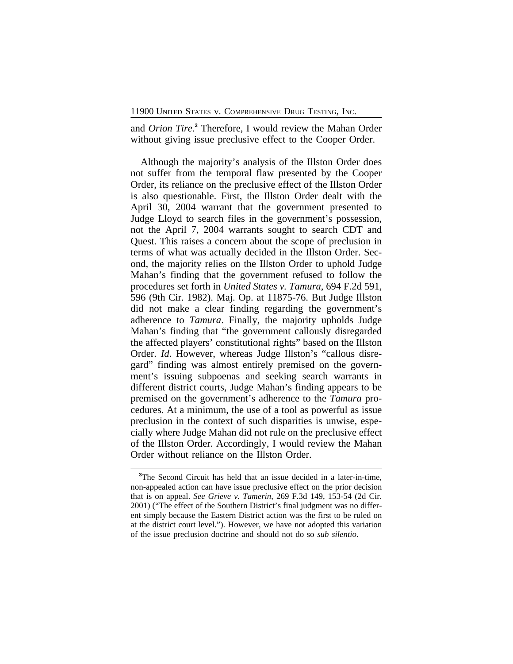and *Orion Tire*.<sup>3</sup> Therefore, I would review the Mahan Order without giving issue preclusive effect to the Cooper Order.

Although the majority's analysis of the Illston Order does not suffer from the temporal flaw presented by the Cooper Order, its reliance on the preclusive effect of the Illston Order is also questionable. First, the Illston Order dealt with the April 30, 2004 warrant that the government presented to Judge Lloyd to search files in the government's possession, not the April 7, 2004 warrants sought to search CDT and Quest. This raises a concern about the scope of preclusion in terms of what was actually decided in the Illston Order. Second, the majority relies on the Illston Order to uphold Judge Mahan's finding that the government refused to follow the procedures set forth in *United States v. Tamura*, 694 F.2d 591, 596 (9th Cir. 1982). Maj. Op. at 11875-76. But Judge Illston did not make a clear finding regarding the government's adherence to *Tamura*. Finally, the majority upholds Judge Mahan's finding that "the government callously disregarded the affected players' constitutional rights" based on the Illston Order. *Id*. However, whereas Judge Illston's "callous disregard" finding was almost entirely premised on the government's issuing subpoenas and seeking search warrants in different district courts, Judge Mahan's finding appears to be premised on the government's adherence to the *Tamura* procedures. At a minimum, the use of a tool as powerful as issue preclusion in the context of such disparities is unwise, especially where Judge Mahan did not rule on the preclusive effect of the Illston Order. Accordingly, I would review the Mahan Order without reliance on the Illston Order.

**<sup>3</sup>**The Second Circuit has held that an issue decided in a later-in-time, non-appealed action can have issue preclusive effect on the prior decision that is on appeal. *See Grieve v. Tamerin*, 269 F.3d 149, 153-54 (2d Cir. 2001) ("The effect of the Southern District's final judgment was no different simply because the Eastern District action was the first to be ruled on at the district court level."). However, we have not adopted this variation of the issue preclusion doctrine and should not do so *sub silentio*.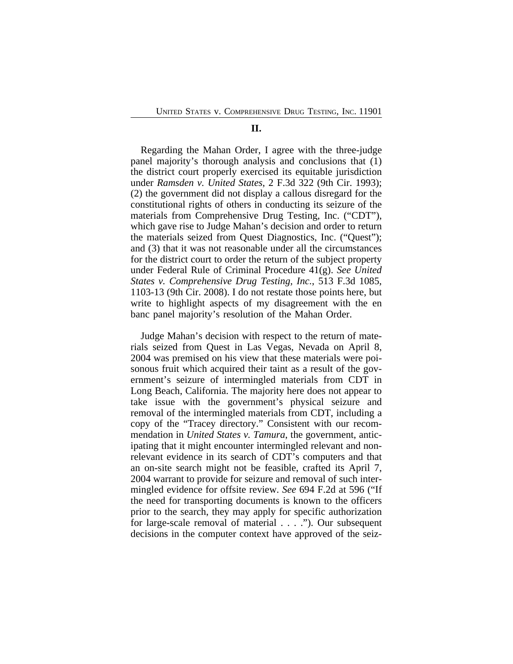#### **II.**

Regarding the Mahan Order, I agree with the three-judge panel majority's thorough analysis and conclusions that (1) the district court properly exercised its equitable jurisdiction under *Ramsden v. United States*, 2 F.3d 322 (9th Cir. 1993); (2) the government did not display a callous disregard for the constitutional rights of others in conducting its seizure of the materials from Comprehensive Drug Testing, Inc. ("CDT"), which gave rise to Judge Mahan's decision and order to return the materials seized from Quest Diagnostics, Inc. ("Quest"); and (3) that it was not reasonable under all the circumstances for the district court to order the return of the subject property under Federal Rule of Criminal Procedure 41(g). *See United States v. Comprehensive Drug Testing, Inc.*, 513 F.3d 1085, 1103-13 (9th Cir. 2008). I do not restate those points here, but write to highlight aspects of my disagreement with the en banc panel majority's resolution of the Mahan Order.

Judge Mahan's decision with respect to the return of materials seized from Quest in Las Vegas, Nevada on April 8, 2004 was premised on his view that these materials were poisonous fruit which acquired their taint as a result of the government's seizure of intermingled materials from CDT in Long Beach, California. The majority here does not appear to take issue with the government's physical seizure and removal of the intermingled materials from CDT, including a copy of the "Tracey directory." Consistent with our recommendation in *United States v. Tamura*, the government, anticipating that it might encounter intermingled relevant and nonrelevant evidence in its search of CDT's computers and that an on-site search might not be feasible, crafted its April 7, 2004 warrant to provide for seizure and removal of such intermingled evidence for offsite review. *See* 694 F.2d at 596 ("If the need for transporting documents is known to the officers prior to the search, they may apply for specific authorization for large-scale removal of material . . . ."). Our subsequent decisions in the computer context have approved of the seiz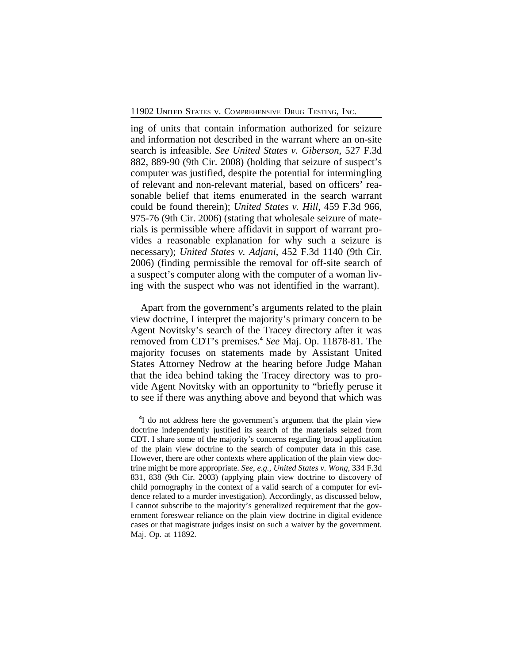ing of units that contain information authorized for seizure and information not described in the warrant where an on-site search is infeasible. *See United States v. Giberson*, 527 F.3d 882, 889-90 (9th Cir. 2008) (holding that seizure of suspect's computer was justified, despite the potential for intermingling of relevant and non-relevant material, based on officers' reasonable belief that items enumerated in the search warrant could be found therein); *United States v. Hill*, 459 F.3d 966, 975-76 (9th Cir. 2006) (stating that wholesale seizure of materials is permissible where affidavit in support of warrant provides a reasonable explanation for why such a seizure is necessary); *United States v. Adjani*, 452 F.3d 1140 (9th Cir. 2006) (finding permissible the removal for off-site search of a suspect's computer along with the computer of a woman living with the suspect who was not identified in the warrant).

Apart from the government's arguments related to the plain view doctrine, I interpret the majority's primary concern to be Agent Novitsky's search of the Tracey directory after it was removed from CDT's premises.**<sup>4</sup>** *See* Maj. Op. 11878-81. The majority focuses on statements made by Assistant United States Attorney Nedrow at the hearing before Judge Mahan that the idea behind taking the Tracey directory was to provide Agent Novitsky with an opportunity to "briefly peruse it to see if there was anything above and beyond that which was

<sup>&</sup>lt;sup>4</sup>I do not address here the government's argument that the plain view doctrine independently justified its search of the materials seized from CDT. I share some of the majority's concerns regarding broad application of the plain view doctrine to the search of computer data in this case. However, there are other contexts where application of the plain view doctrine might be more appropriate. *See*, *e.g.*, *United States v. Wong*, 334 F.3d 831, 838 (9th Cir. 2003) (applying plain view doctrine to discovery of child pornography in the context of a valid search of a computer for evidence related to a murder investigation). Accordingly, as discussed below, I cannot subscribe to the majority's generalized requirement that the government foreswear reliance on the plain view doctrine in digital evidence cases or that magistrate judges insist on such a waiver by the government. Maj. Op. at 11892.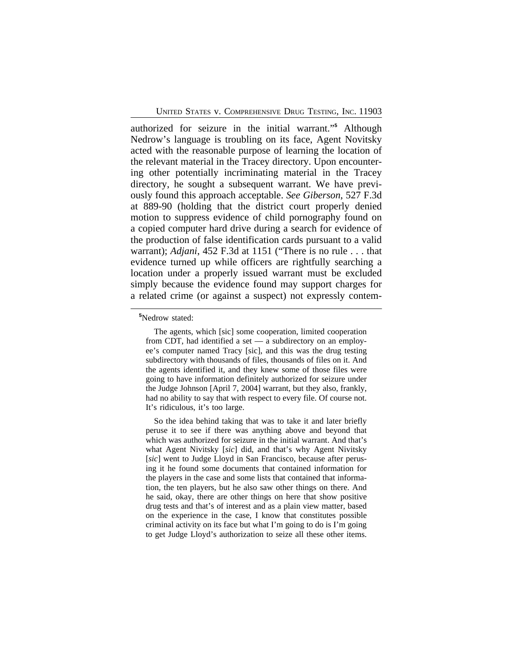authorized for seizure in the initial warrant." **5** Although Nedrow's language is troubling on its face, Agent Novitsky acted with the reasonable purpose of learning the location of the relevant material in the Tracey directory. Upon encountering other potentially incriminating material in the Tracey directory, he sought a subsequent warrant. We have previously found this approach acceptable. *See Giberson*, 527 F.3d at 889-90 (holding that the district court properly denied motion to suppress evidence of child pornography found on a copied computer hard drive during a search for evidence of the production of false identification cards pursuant to a valid warrant); *Adjani*, 452 F.3d at 1151 ("There is no rule . . . that evidence turned up while officers are rightfully searching a location under a properly issued warrant must be excluded simply because the evidence found may support charges for a related crime (or against a suspect) not expressly contem-

So the idea behind taking that was to take it and later briefly peruse it to see if there was anything above and beyond that which was authorized for seizure in the initial warrant. And that's what Agent Nivitsky [*sic*] did, and that's why Agent Nivitsky [*sic*] went to Judge Lloyd in San Francisco, because after perusing it he found some documents that contained information for the players in the case and some lists that contained that information, the ten players, but he also saw other things on there. And he said, okay, there are other things on here that show positive drug tests and that's of interest and as a plain view matter, based on the experience in the case, I know that constitutes possible criminal activity on its face but what I'm going to do is I'm going to get Judge Lloyd's authorization to seize all these other items.

**<sup>5</sup>**Nedrow stated:

The agents, which [sic] some cooperation, limited cooperation from CDT, had identified a set — a subdirectory on an employee's computer named Tracy [sic], and this was the drug testing subdirectory with thousands of files, thousands of files on it. And the agents identified it, and they knew some of those files were going to have information definitely authorized for seizure under the Judge Johnson [April 7, 2004] warrant, but they also, frankly, had no ability to say that with respect to every file. Of course not. It's ridiculous, it's too large.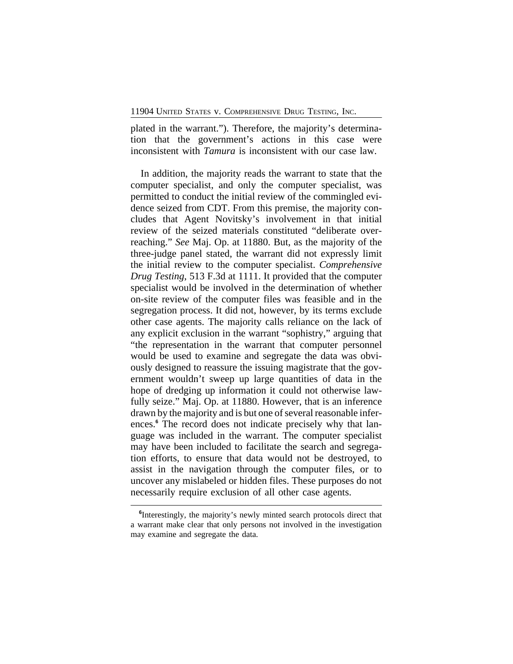plated in the warrant."). Therefore, the majority's determination that the government's actions in this case were inconsistent with *Tamura* is inconsistent with our case law.

In addition, the majority reads the warrant to state that the computer specialist, and only the computer specialist, was permitted to conduct the initial review of the commingled evidence seized from CDT. From this premise, the majority concludes that Agent Novitsky's involvement in that initial review of the seized materials constituted "deliberate overreaching." *See* Maj. Op. at 11880. But, as the majority of the three-judge panel stated, the warrant did not expressly limit the initial review to the computer specialist. *Comprehensive Drug Testing*, 513 F.3d at 1111. It provided that the computer specialist would be involved in the determination of whether on-site review of the computer files was feasible and in the segregation process. It did not, however, by its terms exclude other case agents. The majority calls reliance on the lack of any explicit exclusion in the warrant "sophistry," arguing that "the representation in the warrant that computer personnel would be used to examine and segregate the data was obviously designed to reassure the issuing magistrate that the government wouldn't sweep up large quantities of data in the hope of dredging up information it could not otherwise lawfully seize." Maj. Op. at 11880. However, that is an inference drawn by the majority and is but one of several reasonable inferences.**<sup>6</sup>** The record does not indicate precisely why that language was included in the warrant. The computer specialist may have been included to facilitate the search and segregation efforts, to ensure that data would not be destroyed, to assist in the navigation through the computer files, or to uncover any mislabeled or hidden files. These purposes do not necessarily require exclusion of all other case agents.

<sup>&</sup>lt;sup>6</sup>Interestingly, the majority's newly minted search protocols direct that a warrant make clear that only persons not involved in the investigation may examine and segregate the data.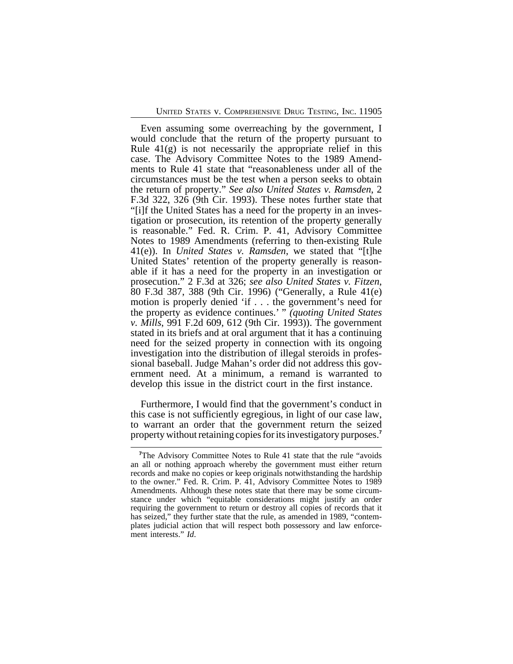Even assuming some overreaching by the government, I would conclude that the return of the property pursuant to Rule  $41(g)$  is not necessarily the appropriate relief in this case. The Advisory Committee Notes to the 1989 Amendments to Rule 41 state that "reasonableness under all of the circumstances must be the test when a person seeks to obtain the return of property." *See also United States v. Ramsden*, 2 F.3d 322, 326 (9th Cir. 1993). These notes further state that "[i]f the United States has a need for the property in an investigation or prosecution, its retention of the property generally is reasonable." Fed. R. Crim. P. 41, Advisory Committee Notes to 1989 Amendments (referring to then-existing Rule 41(e)). In *United States v. Ramsden*, we stated that "[t]he United States' retention of the property generally is reasonable if it has a need for the property in an investigation or prosecution." 2 F.3d at 326; *see also United States v. Fitzen*, 80 F.3d 387, 388 (9th Cir. 1996) ("Generally, a Rule 41(e) motion is properly denied 'if . . . the government's need for the property as evidence continues.' " *(quoting United States v. Mills*, 991 F.2d 609, 612 (9th Cir. 1993)). The government stated in its briefs and at oral argument that it has a continuing need for the seized property in connection with its ongoing investigation into the distribution of illegal steroids in professional baseball. Judge Mahan's order did not address this government need. At a minimum, a remand is warranted to develop this issue in the district court in the first instance.

Furthermore, I would find that the government's conduct in this case is not sufficiently egregious, in light of our case law, to warrant an order that the government return the seized property without retaining copies for its investigatory purposes.**<sup>7</sup>**

<sup>&</sup>lt;sup>7</sup>The Advisory Committee Notes to Rule 41 state that the rule "avoids" an all or nothing approach whereby the government must either return records and make no copies or keep originals notwithstanding the hardship to the owner." Fed. R. Crim. P. 41, Advisory Committee Notes to 1989 Amendments. Although these notes state that there may be some circumstance under which "equitable considerations might justify an order requiring the government to return or destroy all copies of records that it has seized," they further state that the rule, as amended in 1989, "contemplates judicial action that will respect both possessory and law enforcement interests." *Id*.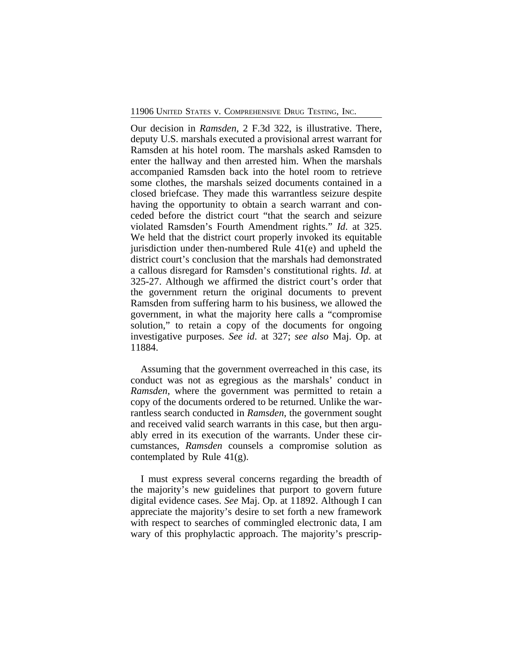Our decision in *Ramsden*, 2 F.3d 322, is illustrative. There, deputy U.S. marshals executed a provisional arrest warrant for Ramsden at his hotel room. The marshals asked Ramsden to enter the hallway and then arrested him. When the marshals accompanied Ramsden back into the hotel room to retrieve some clothes, the marshals seized documents contained in a closed briefcase. They made this warrantless seizure despite having the opportunity to obtain a search warrant and conceded before the district court "that the search and seizure violated Ramsden's Fourth Amendment rights." *Id*. at 325. We held that the district court properly invoked its equitable jurisdiction under then-numbered Rule 41(e) and upheld the district court's conclusion that the marshals had demonstrated a callous disregard for Ramsden's constitutional rights. *Id*. at 325-27. Although we affirmed the district court's order that the government return the original documents to prevent Ramsden from suffering harm to his business, we allowed the government, in what the majority here calls a "compromise solution," to retain a copy of the documents for ongoing investigative purposes. *See id*. at 327; *see also* Maj. Op. at 11884.

Assuming that the government overreached in this case, its conduct was not as egregious as the marshals' conduct in *Ramsden*, where the government was permitted to retain a copy of the documents ordered to be returned. Unlike the warrantless search conducted in *Ramsden*, the government sought and received valid search warrants in this case, but then arguably erred in its execution of the warrants. Under these circumstances, *Ramsden* counsels a compromise solution as contemplated by Rule 41(g).

I must express several concerns regarding the breadth of the majority's new guidelines that purport to govern future digital evidence cases. *See* Maj. Op. at 11892. Although I can appreciate the majority's desire to set forth a new framework with respect to searches of commingled electronic data, I am wary of this prophylactic approach. The majority's prescrip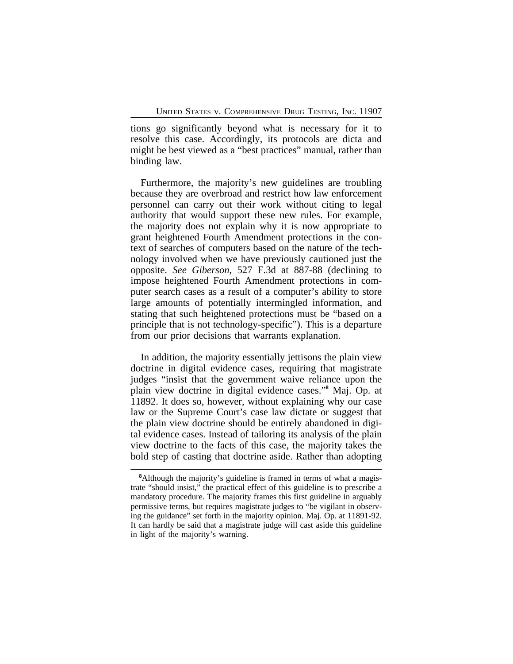tions go significantly beyond what is necessary for it to resolve this case. Accordingly, its protocols are dicta and might be best viewed as a "best practices" manual, rather than binding law.

Furthermore, the majority's new guidelines are troubling because they are overbroad and restrict how law enforcement personnel can carry out their work without citing to legal authority that would support these new rules. For example, the majority does not explain why it is now appropriate to grant heightened Fourth Amendment protections in the context of searches of computers based on the nature of the technology involved when we have previously cautioned just the opposite. *See Giberson*, 527 F.3d at 887-88 (declining to impose heightened Fourth Amendment protections in computer search cases as a result of a computer's ability to store large amounts of potentially intermingled information, and stating that such heightened protections must be "based on a principle that is not technology-specific"). This is a departure from our prior decisions that warrants explanation.

In addition, the majority essentially jettisons the plain view doctrine in digital evidence cases, requiring that magistrate judges "insist that the government waive reliance upon the plain view doctrine in digital evidence cases." **8** Maj. Op. at 11892. It does so, however, without explaining why our case law or the Supreme Court's case law dictate or suggest that the plain view doctrine should be entirely abandoned in digital evidence cases. Instead of tailoring its analysis of the plain view doctrine to the facts of this case, the majority takes the bold step of casting that doctrine aside. Rather than adopting

**<sup>8</sup>**Although the majority's guideline is framed in terms of what a magistrate "should insist," the practical effect of this guideline is to prescribe a mandatory procedure. The majority frames this first guideline in arguably permissive terms, but requires magistrate judges to "be vigilant in observing the guidance" set forth in the majority opinion. Maj. Op. at 11891-92. It can hardly be said that a magistrate judge will cast aside this guideline in light of the majority's warning.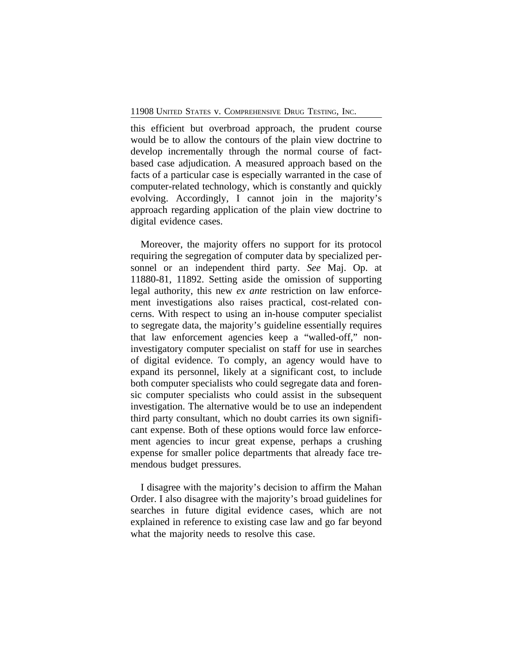this efficient but overbroad approach, the prudent course would be to allow the contours of the plain view doctrine to develop incrementally through the normal course of factbased case adjudication. A measured approach based on the facts of a particular case is especially warranted in the case of computer-related technology, which is constantly and quickly evolving. Accordingly, I cannot join in the majority's approach regarding application of the plain view doctrine to digital evidence cases.

Moreover, the majority offers no support for its protocol requiring the segregation of computer data by specialized personnel or an independent third party. *See* Maj. Op. at 11880-81, 11892. Setting aside the omission of supporting legal authority, this new *ex ante* restriction on law enforcement investigations also raises practical, cost-related concerns. With respect to using an in-house computer specialist to segregate data, the majority's guideline essentially requires that law enforcement agencies keep a "walled-off," noninvestigatory computer specialist on staff for use in searches of digital evidence. To comply, an agency would have to expand its personnel, likely at a significant cost, to include both computer specialists who could segregate data and forensic computer specialists who could assist in the subsequent investigation. The alternative would be to use an independent third party consultant, which no doubt carries its own significant expense. Both of these options would force law enforcement agencies to incur great expense, perhaps a crushing expense for smaller police departments that already face tremendous budget pressures.

I disagree with the majority's decision to affirm the Mahan Order. I also disagree with the majority's broad guidelines for searches in future digital evidence cases, which are not explained in reference to existing case law and go far beyond what the majority needs to resolve this case.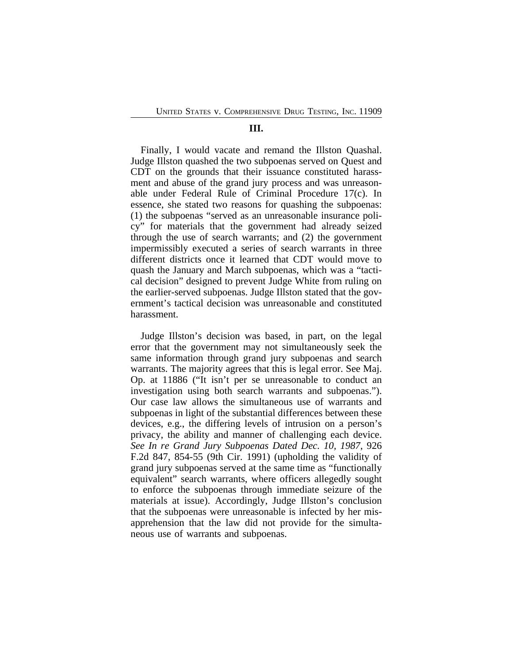#### **III.**

Finally, I would vacate and remand the Illston Quashal. Judge Illston quashed the two subpoenas served on Quest and CDT on the grounds that their issuance constituted harassment and abuse of the grand jury process and was unreasonable under Federal Rule of Criminal Procedure 17(c). In essence, she stated two reasons for quashing the subpoenas: (1) the subpoenas "served as an unreasonable insurance policy" for materials that the government had already seized through the use of search warrants; and (2) the government impermissibly executed a series of search warrants in three different districts once it learned that CDT would move to quash the January and March subpoenas, which was a "tactical decision" designed to prevent Judge White from ruling on the earlier-served subpoenas. Judge Illston stated that the government's tactical decision was unreasonable and constituted harassment.

Judge Illston's decision was based, in part, on the legal error that the government may not simultaneously seek the same information through grand jury subpoenas and search warrants. The majority agrees that this is legal error. See Maj. Op. at 11886 ("It isn't per se unreasonable to conduct an investigation using both search warrants and subpoenas."). Our case law allows the simultaneous use of warrants and subpoenas in light of the substantial differences between these devices, e.g., the differing levels of intrusion on a person's privacy, the ability and manner of challenging each device. *See In re Grand Jury Subpoenas Dated Dec. 10, 1987*, 926 F.2d 847, 854-55 (9th Cir. 1991) (upholding the validity of grand jury subpoenas served at the same time as "functionally equivalent" search warrants, where officers allegedly sought to enforce the subpoenas through immediate seizure of the materials at issue). Accordingly, Judge Illston's conclusion that the subpoenas were unreasonable is infected by her misapprehension that the law did not provide for the simultaneous use of warrants and subpoenas.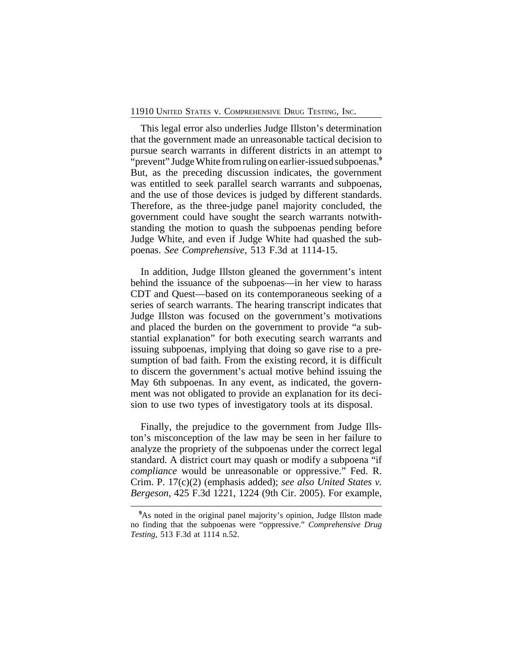This legal error also underlies Judge Illston's determination that the government made an unreasonable tactical decision to pursue search warrants in different districts in an attempt to "prevent" Judge White from ruling on earlier-issued subpoenas.**<sup>9</sup>** But, as the preceding discussion indicates, the government was entitled to seek parallel search warrants and subpoenas, and the use of those devices is judged by different standards. Therefore, as the three-judge panel majority concluded, the government could have sought the search warrants notwithstanding the motion to quash the subpoenas pending before Judge White, and even if Judge White had quashed the subpoenas. *See Comprehensive*, 513 F.3d at 1114-15.

In addition, Judge Illston gleaned the government's intent behind the issuance of the subpoenas—in her view to harass CDT and Quest—based on its contemporaneous seeking of a series of search warrants. The hearing transcript indicates that Judge Illston was focused on the government's motivations and placed the burden on the government to provide "a substantial explanation" for both executing search warrants and issuing subpoenas, implying that doing so gave rise to a presumption of bad faith. From the existing record, it is difficult to discern the government's actual motive behind issuing the May 6th subpoenas. In any event, as indicated, the government was not obligated to provide an explanation for its decision to use two types of investigatory tools at its disposal.

Finally, the prejudice to the government from Judge Illston's misconception of the law may be seen in her failure to analyze the propriety of the subpoenas under the correct legal standard. A district court may quash or modify a subpoena "if *compliance* would be unreasonable or oppressive." Fed. R. Crim. P. 17(c)(2) (emphasis added); *see also United States v. Bergeson*, 425 F.3d 1221, 1224 (9th Cir. 2005). For example,

<sup>&</sup>lt;sup>9</sup>As noted in the original panel majority's opinion, Judge Illston made no finding that the subpoenas were "oppressive." *Comprehensive Drug Testing*, 513 F.3d at 1114 n.52.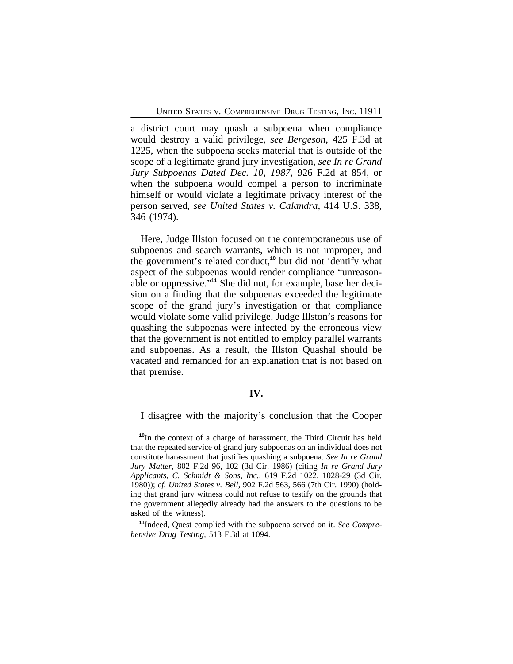a district court may quash a subpoena when compliance would destroy a valid privilege, *see Bergeson*, 425 F.3d at 1225, when the subpoena seeks material that is outside of the scope of a legitimate grand jury investigation, *see In re Grand Jury Subpoenas Dated Dec. 10, 1987*, 926 F.2d at 854, or when the subpoena would compel a person to incriminate himself or would violate a legitimate privacy interest of the person served, *see United States v. Calandra*, 414 U.S. 338, 346 (1974).

Here, Judge Illston focused on the contemporaneous use of subpoenas and search warrants, which is not improper, and the government's related conduct,**<sup>10</sup>** but did not identify what aspect of the subpoenas would render compliance "unreasonable or oppressive." **11** She did not, for example, base her decision on a finding that the subpoenas exceeded the legitimate scope of the grand jury's investigation or that compliance would violate some valid privilege. Judge Illston's reasons for quashing the subpoenas were infected by the erroneous view that the government is not entitled to employ parallel warrants and subpoenas. As a result, the Illston Quashal should be vacated and remanded for an explanation that is not based on that premise.

## **IV.**

I disagree with the majority's conclusion that the Cooper

**<sup>10</sup>**In the context of a charge of harassment, the Third Circuit has held that the repeated service of grand jury subpoenas on an individual does not constitute harassment that justifies quashing a subpoena. *See In re Grand Jury Matter*, 802 F.2d 96, 102 (3d Cir. 1986) (citing *In re Grand Jury Applicants, C. Schmidt & Sons, Inc.*, 619 F.2d 1022, 1028-29 (3d Cir. 1980)); *cf. United States v. Bell*, 902 F.2d 563, 566 (7th Cir. 1990) (holding that grand jury witness could not refuse to testify on the grounds that the government allegedly already had the answers to the questions to be asked of the witness).

**<sup>11</sup>**Indeed, Quest complied with the subpoena served on it. *See Comprehensive Drug Testing*, 513 F.3d at 1094.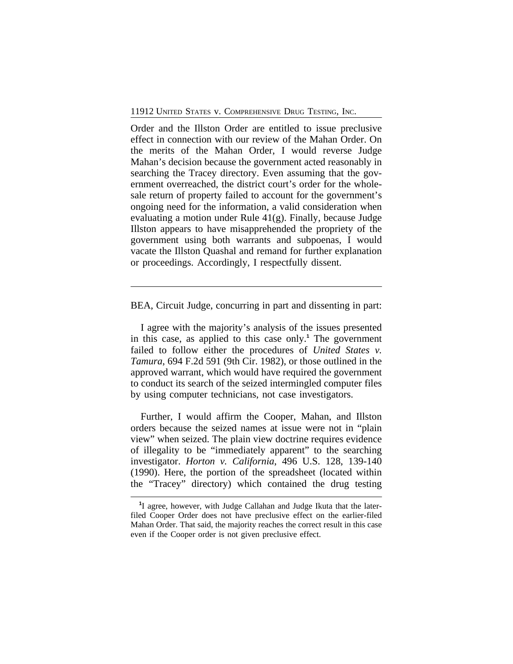Order and the Illston Order are entitled to issue preclusive effect in connection with our review of the Mahan Order. On the merits of the Mahan Order, I would reverse Judge Mahan's decision because the government acted reasonably in searching the Tracey directory. Even assuming that the government overreached, the district court's order for the wholesale return of property failed to account for the government's ongoing need for the information, a valid consideration when evaluating a motion under Rule 41(g). Finally, because Judge Illston appears to have misapprehended the propriety of the government using both warrants and subpoenas, I would vacate the Illston Quashal and remand for further explanation or proceedings. Accordingly, I respectfully dissent.

BEA, Circuit Judge, concurring in part and dissenting in part:

I agree with the majority's analysis of the issues presented in this case, as applied to this case only.**<sup>1</sup>** The government failed to follow either the procedures of *United States v. Tamura*, 694 F.2d 591 (9th Cir. 1982), or those outlined in the approved warrant, which would have required the government to conduct its search of the seized intermingled computer files by using computer technicians, not case investigators.

Further, I would affirm the Cooper, Mahan, and Illston orders because the seized names at issue were not in "plain view" when seized. The plain view doctrine requires evidence of illegality to be "immediately apparent" to the searching investigator. *Horton v. California*, 496 U.S. 128, 139-140 (1990). Here, the portion of the spreadsheet (located within the "Tracey" directory) which contained the drug testing

**<sup>1</sup>** I agree, however, with Judge Callahan and Judge Ikuta that the laterfiled Cooper Order does not have preclusive effect on the earlier-filed Mahan Order. That said, the majority reaches the correct result in this case even if the Cooper order is not given preclusive effect.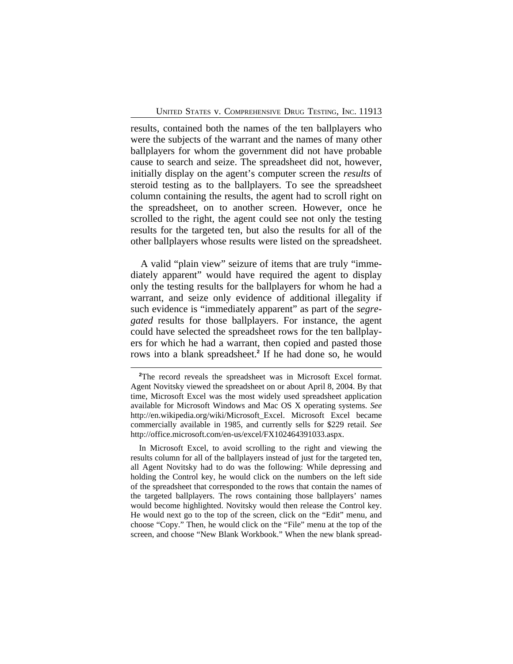results, contained both the names of the ten ballplayers who were the subjects of the warrant and the names of many other ballplayers for whom the government did not have probable cause to search and seize. The spreadsheet did not, however, initially display on the agent's computer screen the *results* of steroid testing as to the ballplayers. To see the spreadsheet column containing the results, the agent had to scroll right on the spreadsheet, on to another screen. However, once he scrolled to the right, the agent could see not only the testing results for the targeted ten, but also the results for all of the other ballplayers whose results were listed on the spreadsheet.

A valid "plain view" seizure of items that are truly "immediately apparent" would have required the agent to display only the testing results for the ballplayers for whom he had a warrant, and seize only evidence of additional illegality if such evidence is "immediately apparent" as part of the *segregated* results for those ballplayers. For instance, the agent could have selected the spreadsheet rows for the ten ballplayers for which he had a warrant, then copied and pasted those rows into a blank spreadsheet.**<sup>2</sup>** If he had done so, he would

<sup>&</sup>lt;sup>2</sup>The record reveals the spreadsheet was in Microsoft Excel format. Agent Novitsky viewed the spreadsheet on or about April 8, 2004. By that time, Microsoft Excel was the most widely used spreadsheet application available for Microsoft Windows and Mac OS X operating systems. *See* http://en.wikipedia.org/wiki/Microsoft\_Excel. Microsoft Excel became commercially available in 1985, and currently sells for \$229 retail. *See* http://office.microsoft.com/en-us/excel/FX102464391033.aspx.

In Microsoft Excel, to avoid scrolling to the right and viewing the results column for all of the ballplayers instead of just for the targeted ten, all Agent Novitsky had to do was the following: While depressing and holding the Control key, he would click on the numbers on the left side of the spreadsheet that corresponded to the rows that contain the names of the targeted ballplayers. The rows containing those ballplayers' names would become highlighted. Novitsky would then release the Control key. He would next go to the top of the screen, click on the "Edit" menu, and choose "Copy." Then, he would click on the "File" menu at the top of the screen, and choose "New Blank Workbook." When the new blank spread-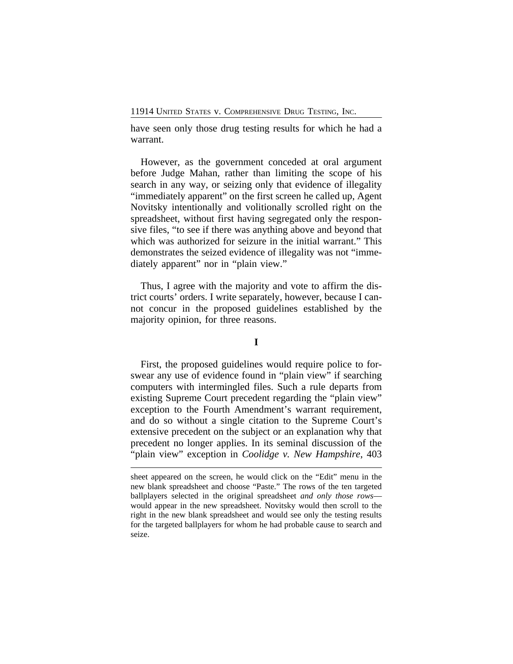have seen only those drug testing results for which he had a warrant.

However, as the government conceded at oral argument before Judge Mahan, rather than limiting the scope of his search in any way, or seizing only that evidence of illegality "immediately apparent" on the first screen he called up, Agent Novitsky intentionally and volitionally scrolled right on the spreadsheet, without first having segregated only the responsive files, "to see if there was anything above and beyond that which was authorized for seizure in the initial warrant." This demonstrates the seized evidence of illegality was not "immediately apparent" nor in "plain view."

Thus, I agree with the majority and vote to affirm the district courts' orders. I write separately, however, because I cannot concur in the proposed guidelines established by the majority opinion, for three reasons.

## **I**

First, the proposed guidelines would require police to forswear any use of evidence found in "plain view" if searching computers with intermingled files. Such a rule departs from existing Supreme Court precedent regarding the "plain view" exception to the Fourth Amendment's warrant requirement, and do so without a single citation to the Supreme Court's extensive precedent on the subject or an explanation why that precedent no longer applies. In its seminal discussion of the "plain view" exception in *Coolidge v. New Hampshire*, 403

sheet appeared on the screen, he would click on the "Edit" menu in the new blank spreadsheet and choose "Paste." The rows of the ten targeted ballplayers selected in the original spreadsheet *and only those rows* would appear in the new spreadsheet. Novitsky would then scroll to the right in the new blank spreadsheet and would see only the testing results for the targeted ballplayers for whom he had probable cause to search and seize.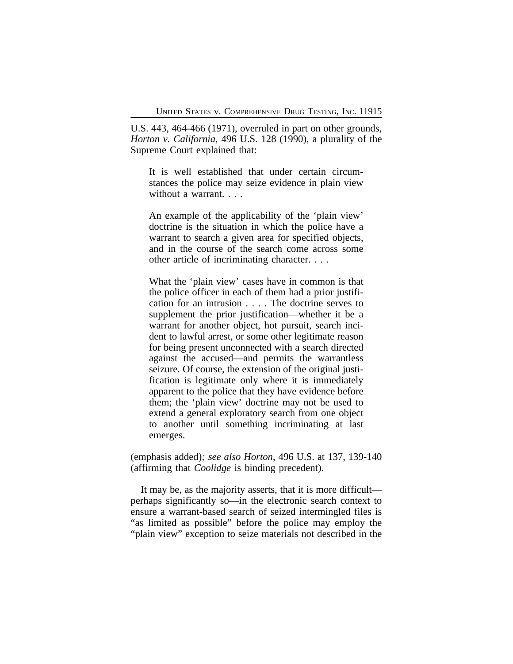U.S. 443, 464-466 (1971), overruled in part on other grounds, *Horton v. California*, 496 U.S. 128 (1990), a plurality of the Supreme Court explained that:

It is well established that under certain circumstances the police may seize evidence in plain view without a warrant. . . .

An example of the applicability of the 'plain view' doctrine is the situation in which the police have a warrant to search a given area for specified objects, and in the course of the search come across some other article of incriminating character. . . .

What the 'plain view' cases have in common is that the police officer in each of them had a prior justification for an intrusion . . . . The doctrine serves to supplement the prior justification—whether it be a warrant for another object, hot pursuit, search incident to lawful arrest, or some other legitimate reason for being present unconnected with a search directed against the accused—and permits the warrantless seizure. Of course, the extension of the original justification is legitimate only where it is immediately apparent to the police that they have evidence before them; the 'plain view' doctrine may not be used to extend a general exploratory search from one object to another until something incriminating at last emerges.

(emphasis added)*; see also Horton*, 496 U.S. at 137, 139-140 (affirming that *Coolidge* is binding precedent).

It may be, as the majority asserts, that it is more difficult perhaps significantly so—in the electronic search context to ensure a warrant-based search of seized intermingled files is "as limited as possible" before the police may employ the "plain view" exception to seize materials not described in the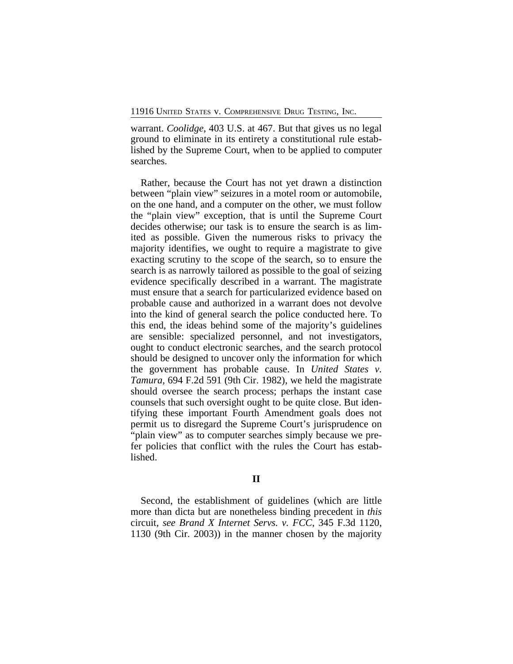warrant. *Coolidge*, 403 U.S. at 467. But that gives us no legal ground to eliminate in its entirety a constitutional rule established by the Supreme Court, when to be applied to computer searches.

Rather, because the Court has not yet drawn a distinction between "plain view" seizures in a motel room or automobile, on the one hand, and a computer on the other, we must follow the "plain view" exception, that is until the Supreme Court decides otherwise; our task is to ensure the search is as limited as possible. Given the numerous risks to privacy the majority identifies, we ought to require a magistrate to give exacting scrutiny to the scope of the search, so to ensure the search is as narrowly tailored as possible to the goal of seizing evidence specifically described in a warrant. The magistrate must ensure that a search for particularized evidence based on probable cause and authorized in a warrant does not devolve into the kind of general search the police conducted here. To this end, the ideas behind some of the majority's guidelines are sensible: specialized personnel, and not investigators, ought to conduct electronic searches, and the search protocol should be designed to uncover only the information for which the government has probable cause. In *United States v. Tamura*, 694 F.2d 591 (9th Cir. 1982), we held the magistrate should oversee the search process; perhaps the instant case counsels that such oversight ought to be quite close. But identifying these important Fourth Amendment goals does not permit us to disregard the Supreme Court's jurisprudence on "plain view" as to computer searches simply because we prefer policies that conflict with the rules the Court has established.

## **II**

Second, the establishment of guidelines (which are little more than dicta but are nonetheless binding precedent in *this* circuit, *see Brand X Internet Servs. v. FCC*, 345 F.3d 1120, 1130 (9th Cir. 2003)) in the manner chosen by the majority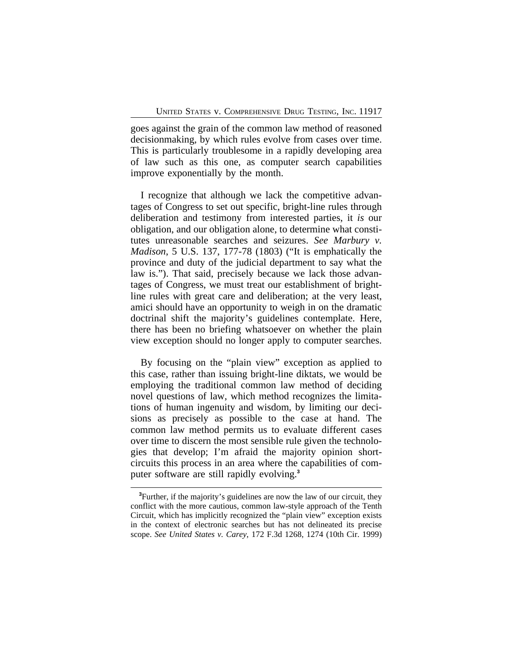goes against the grain of the common law method of reasoned decisionmaking, by which rules evolve from cases over time. This is particularly troublesome in a rapidly developing area of law such as this one, as computer search capabilities improve exponentially by the month.

I recognize that although we lack the competitive advantages of Congress to set out specific, bright-line rules through deliberation and testimony from interested parties, it *is* our obligation, and our obligation alone, to determine what constitutes unreasonable searches and seizures. *See Marbury v. Madison*, 5 U.S. 137, 177-78 (1803) ("It is emphatically the province and duty of the judicial department to say what the law is."). That said, precisely because we lack those advantages of Congress, we must treat our establishment of brightline rules with great care and deliberation; at the very least, amici should have an opportunity to weigh in on the dramatic doctrinal shift the majority's guidelines contemplate. Here, there has been no briefing whatsoever on whether the plain view exception should no longer apply to computer searches.

By focusing on the "plain view" exception as applied to this case, rather than issuing bright-line diktats, we would be employing the traditional common law method of deciding novel questions of law, which method recognizes the limitations of human ingenuity and wisdom, by limiting our decisions as precisely as possible to the case at hand. The common law method permits us to evaluate different cases over time to discern the most sensible rule given the technologies that develop; I'm afraid the majority opinion shortcircuits this process in an area where the capabilities of computer software are still rapidly evolving.**<sup>3</sup>**

**<sup>3</sup>**Further, if the majority's guidelines are now the law of our circuit, they conflict with the more cautious, common law-style approach of the Tenth Circuit, which has implicitly recognized the "plain view" exception exists in the context of electronic searches but has not delineated its precise scope. *See United States v. Carey*, 172 F.3d 1268, 1274 (10th Cir. 1999)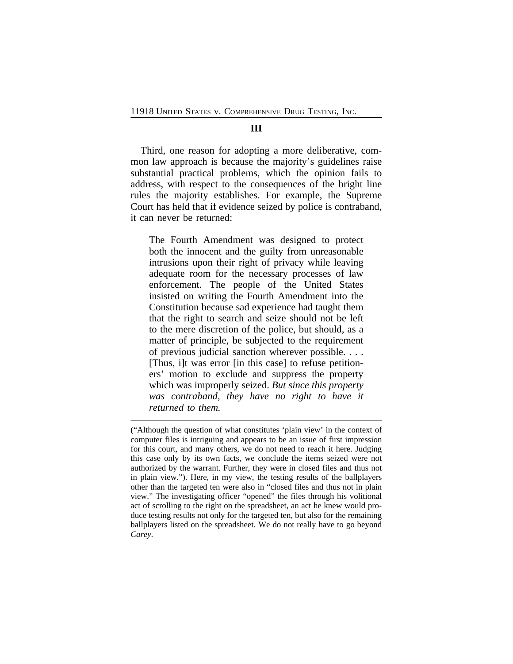#### **III**

Third, one reason for adopting a more deliberative, common law approach is because the majority's guidelines raise substantial practical problems, which the opinion fails to address, with respect to the consequences of the bright line rules the majority establishes. For example, the Supreme Court has held that if evidence seized by police is contraband, it can never be returned:

The Fourth Amendment was designed to protect both the innocent and the guilty from unreasonable intrusions upon their right of privacy while leaving adequate room for the necessary processes of law enforcement. The people of the United States insisted on writing the Fourth Amendment into the Constitution because sad experience had taught them that the right to search and seize should not be left to the mere discretion of the police, but should, as a matter of principle, be subjected to the requirement of previous judicial sanction wherever possible. . . . [Thus, i]t was error [in this case] to refuse petitioners' motion to exclude and suppress the property which was improperly seized. *But since this property was contraband, they have no right to have it returned to them.*

<sup>(&</sup>quot;Although the question of what constitutes 'plain view' in the context of computer files is intriguing and appears to be an issue of first impression for this court, and many others, we do not need to reach it here. Judging this case only by its own facts, we conclude the items seized were not authorized by the warrant. Further, they were in closed files and thus not in plain view."). Here, in my view, the testing results of the ballplayers other than the targeted ten were also in "closed files and thus not in plain view." The investigating officer "opened" the files through his volitional act of scrolling to the right on the spreadsheet, an act he knew would produce testing results not only for the targeted ten, but also for the remaining ballplayers listed on the spreadsheet. We do not really have to go beyond *Carey*.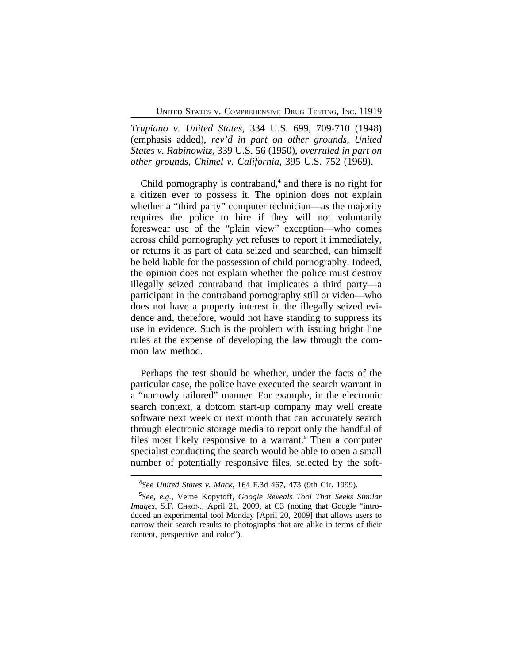*Trupiano v. United States*, 334 U.S. 699, 709-710 (1948) (emphasis added), *rev'd in part on other grounds*, *United States v. Rabinowitz*, 339 U.S. 56 (1950), *overruled in part on other grounds*, *Chimel v. California*, 395 U.S. 752 (1969).

Child pornography is contraband,**<sup>4</sup>** and there is no right for a citizen ever to possess it. The opinion does not explain whether a "third party" computer technician—as the majority requires the police to hire if they will not voluntarily foreswear use of the "plain view" exception—who comes across child pornography yet refuses to report it immediately, or returns it as part of data seized and searched, can himself be held liable for the possession of child pornography. Indeed, the opinion does not explain whether the police must destroy illegally seized contraband that implicates a third party—a participant in the contraband pornography still or video—who does not have a property interest in the illegally seized evidence and, therefore, would not have standing to suppress its use in evidence. Such is the problem with issuing bright line rules at the expense of developing the law through the common law method.

Perhaps the test should be whether, under the facts of the particular case, the police have executed the search warrant in a "narrowly tailored" manner. For example, in the electronic search context, a dotcom start-up company may well create software next week or next month that can accurately search through electronic storage media to report only the handful of files most likely responsive to a warrant.**<sup>5</sup>** Then a computer specialist conducting the search would be able to open a small number of potentially responsive files, selected by the soft-

**<sup>4</sup>** *See United States v. Mack*, 164 F.3d 467, 473 (9th Cir. 1999).

**<sup>5</sup>** *See, e.g.*, Verne Kopytoff, *Google Reveals Tool That Seeks Similar Images*, S.F. CHRON., April 21, 2009, at C3 (noting that Google "introduced an experimental tool Monday [April 20, 2009] that allows users to narrow their search results to photographs that are alike in terms of their content, perspective and color").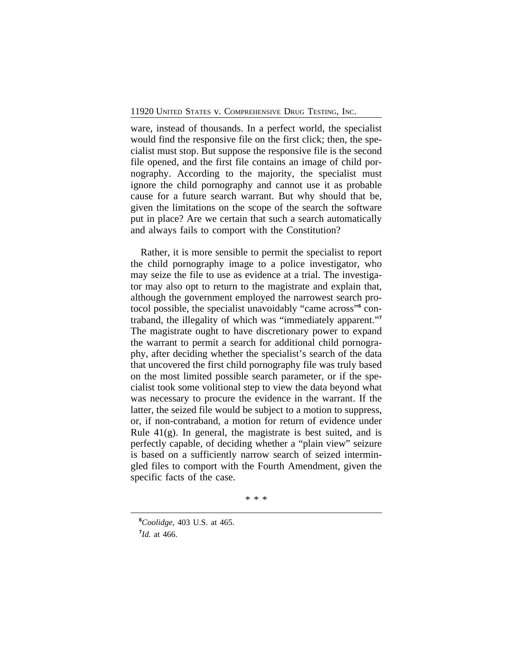ware, instead of thousands. In a perfect world, the specialist would find the responsive file on the first click; then, the specialist must stop. But suppose the responsive file is the second file opened, and the first file contains an image of child pornography. According to the majority, the specialist must ignore the child pornography and cannot use it as probable cause for a future search warrant. But why should that be, given the limitations on the scope of the search the software put in place? Are we certain that such a search automatically and always fails to comport with the Constitution?

Rather, it is more sensible to permit the specialist to report the child pornography image to a police investigator, who may seize the file to use as evidence at a trial. The investigator may also opt to return to the magistrate and explain that, although the government employed the narrowest search protocol possible, the specialist unavoidably "came across" contraband, the illegality of which was "immediately apparent." **7** The magistrate ought to have discretionary power to expand the warrant to permit a search for additional child pornography, after deciding whether the specialist's search of the data that uncovered the first child pornography file was truly based on the most limited possible search parameter, or if the specialist took some volitional step to view the data beyond what was necessary to procure the evidence in the warrant. If the latter, the seized file would be subject to a motion to suppress, or, if non-contraband, a motion for return of evidence under Rule  $41(g)$ . In general, the magistrate is best suited, and is perfectly capable, of deciding whether a "plain view" seizure is based on a sufficiently narrow search of seized intermingled files to comport with the Fourth Amendment, given the specific facts of the case.

\* \* \*

**<sup>6</sup>***Coolidge*, 403 U.S. at 465. **7** *Id.* at 466.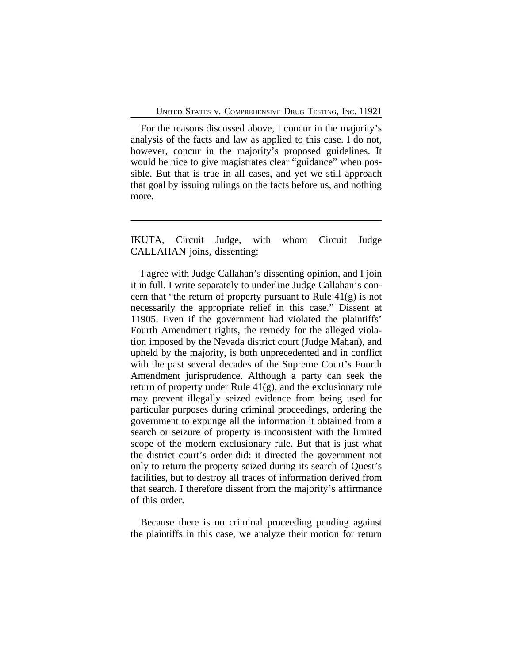For the reasons discussed above, I concur in the majority's analysis of the facts and law as applied to this case. I do not, however, concur in the majority's proposed guidelines. It would be nice to give magistrates clear "guidance" when possible. But that is true in all cases, and yet we still approach that goal by issuing rulings on the facts before us, and nothing more.

IKUTA, Circuit Judge, with whom Circuit Judge CALLAHAN joins, dissenting:

I agree with Judge Callahan's dissenting opinion, and I join it in full. I write separately to underline Judge Callahan's concern that "the return of property pursuant to Rule  $41(g)$  is not necessarily the appropriate relief in this case." Dissent at 11905. Even if the government had violated the plaintiffs' Fourth Amendment rights, the remedy for the alleged violation imposed by the Nevada district court (Judge Mahan), and upheld by the majority, is both unprecedented and in conflict with the past several decades of the Supreme Court's Fourth Amendment jurisprudence. Although a party can seek the return of property under Rule 41(g), and the exclusionary rule may prevent illegally seized evidence from being used for particular purposes during criminal proceedings, ordering the government to expunge all the information it obtained from a search or seizure of property is inconsistent with the limited scope of the modern exclusionary rule. But that is just what the district court's order did: it directed the government not only to return the property seized during its search of Quest's facilities, but to destroy all traces of information derived from that search. I therefore dissent from the majority's affirmance of this order.

Because there is no criminal proceeding pending against the plaintiffs in this case, we analyze their motion for return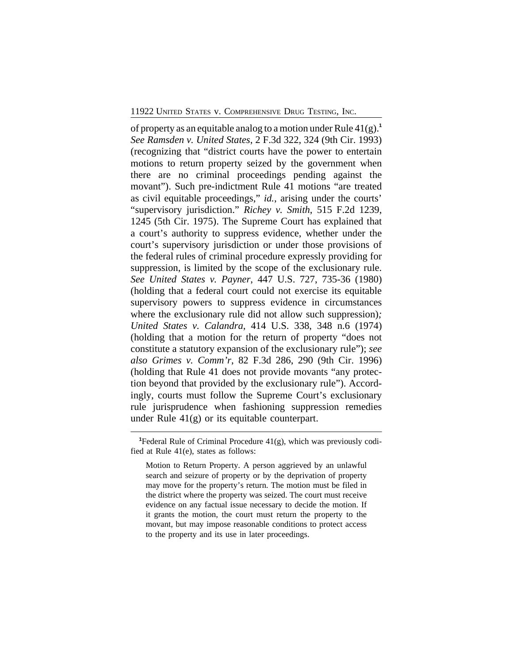of property as an equitable analog to a motion under Rule 41(g).**<sup>1</sup>** *See Ramsden v. United States*, 2 F.3d 322, 324 (9th Cir. 1993) (recognizing that "district courts have the power to entertain motions to return property seized by the government when there are no criminal proceedings pending against the movant"). Such pre-indictment Rule 41 motions "are treated as civil equitable proceedings," *id.*, arising under the courts' "supervisory jurisdiction." *Richey v. Smith*, 515 F.2d 1239, 1245 (5th Cir. 1975). The Supreme Court has explained that a court's authority to suppress evidence, whether under the court's supervisory jurisdiction or under those provisions of the federal rules of criminal procedure expressly providing for suppression, is limited by the scope of the exclusionary rule. *See United States v. Payner*, 447 U.S. 727, 735-36 (1980) (holding that a federal court could not exercise its equitable supervisory powers to suppress evidence in circumstances where the exclusionary rule did not allow such suppression)*; United States v. Calandra*, 414 U.S. 338, 348 n.6 (1974) (holding that a motion for the return of property "does not constitute a statutory expansion of the exclusionary rule"); *see also Grimes v. Comm'r*, 82 F.3d 286, 290 (9th Cir. 1996) (holding that Rule 41 does not provide movants "any protection beyond that provided by the exclusionary rule"). Accordingly, courts must follow the Supreme Court's exclusionary rule jurisprudence when fashioning suppression remedies under Rule  $41(g)$  or its equitable counterpart.

**<sup>1</sup>**Federal Rule of Criminal Procedure 41(g), which was previously codified at Rule 41(e), states as follows:

Motion to Return Property. A person aggrieved by an unlawful search and seizure of property or by the deprivation of property may move for the property's return. The motion must be filed in the district where the property was seized. The court must receive evidence on any factual issue necessary to decide the motion. If it grants the motion, the court must return the property to the movant, but may impose reasonable conditions to protect access to the property and its use in later proceedings.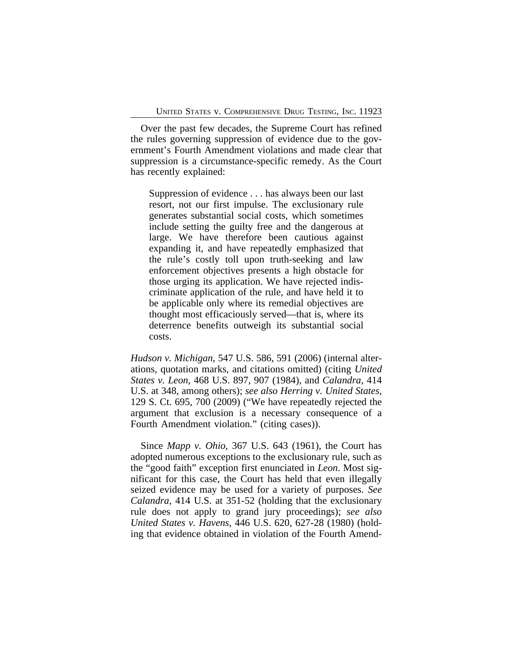Over the past few decades, the Supreme Court has refined the rules governing suppression of evidence due to the government's Fourth Amendment violations and made clear that suppression is a circumstance-specific remedy. As the Court has recently explained:

Suppression of evidence . . . has always been our last resort, not our first impulse. The exclusionary rule generates substantial social costs, which sometimes include setting the guilty free and the dangerous at large. We have therefore been cautious against expanding it, and have repeatedly emphasized that the rule's costly toll upon truth-seeking and law enforcement objectives presents a high obstacle for those urging its application. We have rejected indiscriminate application of the rule, and have held it to be applicable only where its remedial objectives are thought most efficaciously served—that is, where its deterrence benefits outweigh its substantial social costs.

*Hudson v. Michigan*, 547 U.S. 586, 591 (2006) (internal alterations, quotation marks, and citations omitted) (citing *United States v. Leon*, 468 U.S. 897, 907 (1984), and *Calandra*, 414 U.S. at 348, among others); *see also Herring v. United States*, 129 S. Ct. 695, 700 (2009) ("We have repeatedly rejected the argument that exclusion is a necessary consequence of a Fourth Amendment violation." (citing cases)).

Since *Mapp v. Ohio*, 367 U.S. 643 (1961), the Court has adopted numerous exceptions to the exclusionary rule, such as the "good faith" exception first enunciated in *Leon*. Most significant for this case, the Court has held that even illegally seized evidence may be used for a variety of purposes. *See Calandra*, 414 U.S. at 351-52 (holding that the exclusionary rule does not apply to grand jury proceedings); *see also United States v. Havens*, 446 U.S. 620, 627-28 (1980) (holding that evidence obtained in violation of the Fourth Amend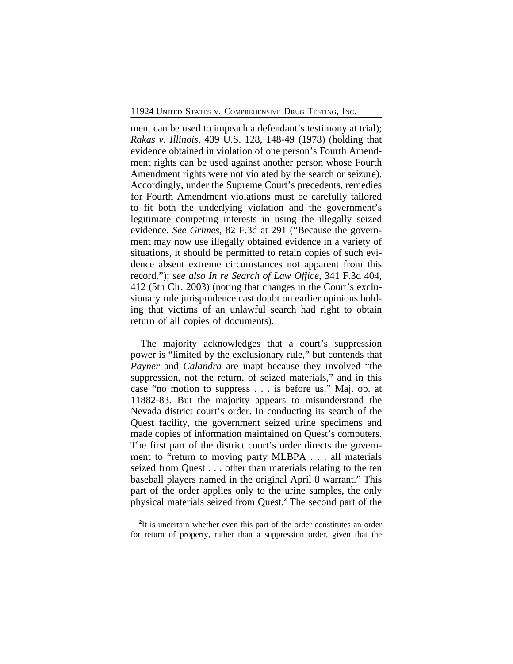ment can be used to impeach a defendant's testimony at trial); *Rakas v. Illinois*, 439 U.S. 128, 148-49 (1978) (holding that evidence obtained in violation of one person's Fourth Amendment rights can be used against another person whose Fourth Amendment rights were not violated by the search or seizure). Accordingly, under the Supreme Court's precedents, remedies for Fourth Amendment violations must be carefully tailored to fit both the underlying violation and the government's legitimate competing interests in using the illegally seized evidence. *See Grimes*, 82 F.3d at 291 ("Because the government may now use illegally obtained evidence in a variety of situations, it should be permitted to retain copies of such evidence absent extreme circumstances not apparent from this record."); *see also In re Search of Law Office*, 341 F.3d 404, 412 (5th Cir. 2003) (noting that changes in the Court's exclusionary rule jurisprudence cast doubt on earlier opinions holding that victims of an unlawful search had right to obtain return of all copies of documents).

The majority acknowledges that a court's suppression power is "limited by the exclusionary rule," but contends that *Payner* and *Calandra* are inapt because they involved "the suppression, not the return, of seized materials," and in this case "no motion to suppress . . . is before us." Maj. op. at 11882-83. But the majority appears to misunderstand the Nevada district court's order. In conducting its search of the Quest facility, the government seized urine specimens and made copies of information maintained on Quest's computers. The first part of the district court's order directs the government to "return to moving party MLBPA . . . all materials seized from Quest . . . other than materials relating to the ten baseball players named in the original April 8 warrant." This part of the order applies only to the urine samples, the only physical materials seized from Quest.**<sup>2</sup>** The second part of the

<sup>&</sup>lt;sup>2</sup>It is uncertain whether even this part of the order constitutes an order for return of property, rather than a suppression order, given that the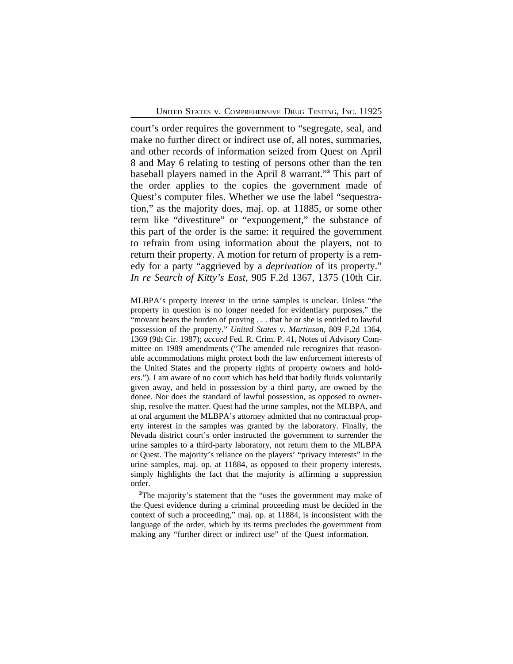court's order requires the government to "segregate, seal, and make no further direct or indirect use of, all notes, summaries, and other records of information seized from Quest on April 8 and May 6 relating to testing of persons other than the ten baseball players named in the April 8 warrant." **3** This part of the order applies to the copies the government made of Quest's computer files. Whether we use the label "sequestration," as the majority does, maj. op. at 11885, or some other term like "divestiture" or "expungement," the substance of this part of the order is the same: it required the government to refrain from using information about the players, not to return their property. A motion for return of property is a remedy for a party "aggrieved by a *deprivation* of its property." *In re Search of Kitty's East*, 905 F.2d 1367, 1375 (10th Cir.

MLBPA's property interest in the urine samples is unclear. Unless "the property in question is no longer needed for evidentiary purposes," the "movant bears the burden of proving . . . that he or she is entitled to lawful possession of the property." *United States v. Martinson*, 809 F.2d 1364, 1369 (9th Cir. 1987); *accord* Fed. R. Crim. P. 41, Notes of Advisory Committee on 1989 amendments ("The amended rule recognizes that reasonable accommodations might protect both the law enforcement interests of the United States and the property rights of property owners and holders."). I am aware of no court which has held that bodily fluids voluntarily given away, and held in possession by a third party, are owned by the donee. Nor does the standard of lawful possession, as opposed to ownership, resolve the matter. Quest had the urine samples, not the MLBPA, and at oral argument the MLBPA's attorney admitted that no contractual property interest in the samples was granted by the laboratory. Finally, the Nevada district court's order instructed the government to surrender the urine samples to a third-party laboratory, not return them to the MLBPA or Quest. The majority's reliance on the players' "privacy interests" in the urine samples, maj. op. at 11884, as opposed to their property interests, simply highlights the fact that the majority is affirming a suppression order.

<sup>3</sup>The majority's statement that the "uses the government may make of the Quest evidence during a criminal proceeding must be decided in the context of such a proceeding," maj. op. at 11884, is inconsistent with the language of the order, which by its terms precludes the government from making any "further direct or indirect use" of the Quest information.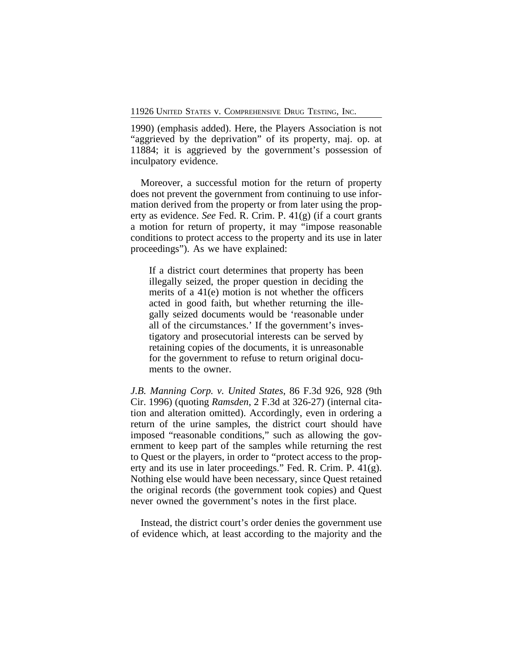1990) (emphasis added). Here, the Players Association is not "aggrieved by the deprivation" of its property, maj. op. at 11884; it is aggrieved by the government's possession of inculpatory evidence.

Moreover, a successful motion for the return of property does not prevent the government from continuing to use information derived from the property or from later using the property as evidence. *See* Fed. R. Crim. P. 41(g) (if a court grants a motion for return of property, it may "impose reasonable conditions to protect access to the property and its use in later proceedings"). As we have explained:

If a district court determines that property has been illegally seized, the proper question in deciding the merits of a 41(e) motion is not whether the officers acted in good faith, but whether returning the illegally seized documents would be 'reasonable under all of the circumstances.' If the government's investigatory and prosecutorial interests can be served by retaining copies of the documents, it is unreasonable for the government to refuse to return original documents to the owner.

*J.B. Manning Corp. v. United States*, 86 F.3d 926, 928 (9th Cir. 1996) (quoting *Ramsden*, 2 F.3d at 326-27) (internal citation and alteration omitted). Accordingly, even in ordering a return of the urine samples, the district court should have imposed "reasonable conditions," such as allowing the government to keep part of the samples while returning the rest to Quest or the players, in order to "protect access to the property and its use in later proceedings." Fed. R. Crim. P. 41(g). Nothing else would have been necessary, since Quest retained the original records (the government took copies) and Quest never owned the government's notes in the first place.

Instead, the district court's order denies the government use of evidence which, at least according to the majority and the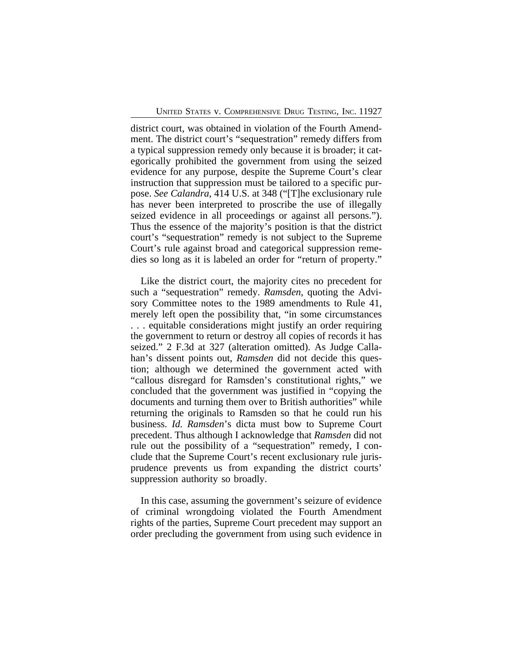district court, was obtained in violation of the Fourth Amendment. The district court's "sequestration" remedy differs from a typical suppression remedy only because it is broader; it categorically prohibited the government from using the seized evidence for any purpose, despite the Supreme Court's clear instruction that suppression must be tailored to a specific purpose. *See Calandra*, 414 U.S. at 348 ("[T]he exclusionary rule has never been interpreted to proscribe the use of illegally seized evidence in all proceedings or against all persons."). Thus the essence of the majority's position is that the district court's "sequestration" remedy is not subject to the Supreme Court's rule against broad and categorical suppression remedies so long as it is labeled an order for "return of property."

Like the district court, the majority cites no precedent for such a "sequestration" remedy. *Ramsden*, quoting the Advisory Committee notes to the 1989 amendments to Rule 41, merely left open the possibility that, "in some circumstances . . . equitable considerations might justify an order requiring the government to return or destroy all copies of records it has seized." 2 F.3d at 327 (alteration omitted). As Judge Callahan's dissent points out, *Ramsden* did not decide this question; although we determined the government acted with "callous disregard for Ramsden's constitutional rights," we concluded that the government was justified in "copying the documents and turning them over to British authorities" while returning the originals to Ramsden so that he could run his business. *Id. Ramsden*'s dicta must bow to Supreme Court precedent. Thus although I acknowledge that *Ramsden* did not rule out the possibility of a "sequestration" remedy, I conclude that the Supreme Court's recent exclusionary rule jurisprudence prevents us from expanding the district courts' suppression authority so broadly.

In this case, assuming the government's seizure of evidence of criminal wrongdoing violated the Fourth Amendment rights of the parties, Supreme Court precedent may support an order precluding the government from using such evidence in